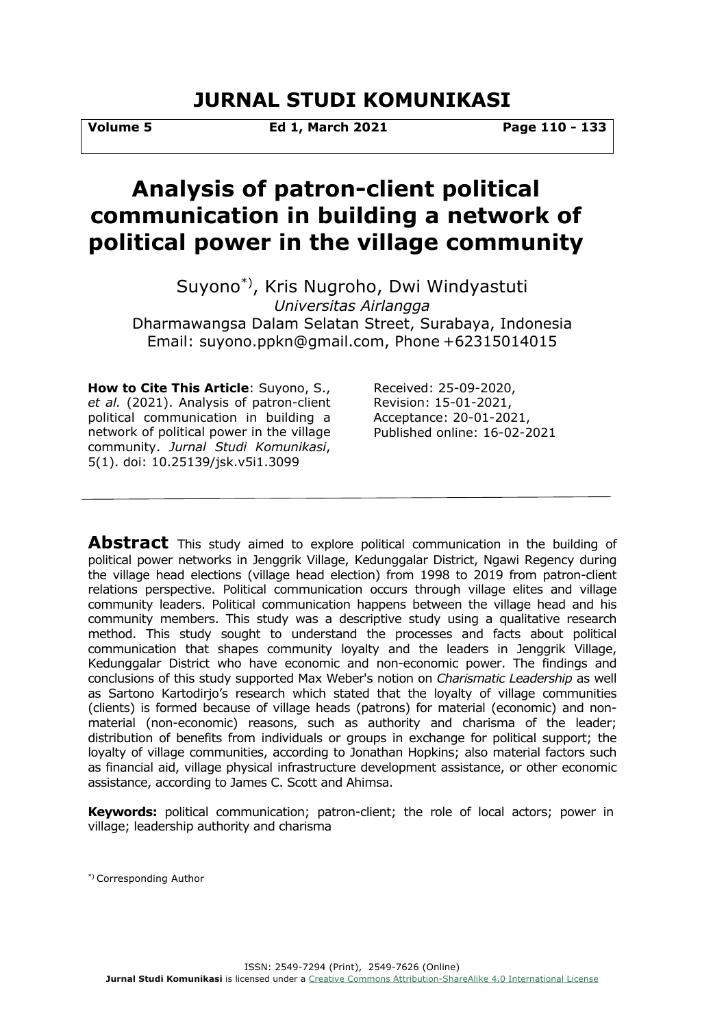# **JURNAL STUDI KOMUNIKASI**

**Volume 5 Ed 1, March 2021 Page 110 - 133**

# **Analysis of patron-client political communication in building a network of political power in the village community**

Suyono\*), Kris Nugroho, Dwi Windyastuti *Universitas Airlangga* Dharmawangsa Dalam Selatan Street, Surabaya, Indonesia Email: suyono.ppkn@gmail.com, Phone +62315014015

**How to Cite This Article**: Suyono, S., *et al.* (2021). Analysis of patron-client political communication in building a network of political power in the village community. *Jurnal Studi Komunikasi*, 5(1). doi: 10.25139/jsk.v5i1.3099

Received: 25-09-2020, Revision: 15-01-2021, Acceptance: 20-01-2021, Published online: 16-02-2021

**Abstract** This study aimed to explore political communication in the building of political power networks in Jenggrik Village, Kedunggalar District, Ngawi Regency during the village head elections (village head election) from 1998 to 2019 from patron-client relations perspective. Political communication occurs through village elites and village community leaders. Political communication happens between the village head and his community members. This study was a descriptive study using a qualitative research method. This study sought to understand the processes and facts about political communication that shapes community loyalty and the leaders in Jenggrik Village, Kedunggalar District who have economic and non-economic power. The findings and conclusions of this study supported Max Weber's notion on *Charismatic Leadership* as well as Sartono Kartodirjo's research which stated that the loyalty of village communities (clients) is formed because of village heads (patrons) for material (economic) and nonmaterial (non-economic) reasons, such as authority and charisma of the leader; distribution of benefits from individuals or groups in exchange for political support; the loyalty of village communities, according to Jonathan Hopkins; also material factors such as financial aid, village physical infrastructure development assistance, or other economic assistance, according to James C. Scott and Ahimsa.

**Keywords:** political communication; patron-client; the role of local actors; power in village; leadership authority and charisma

\*) Corresponding Author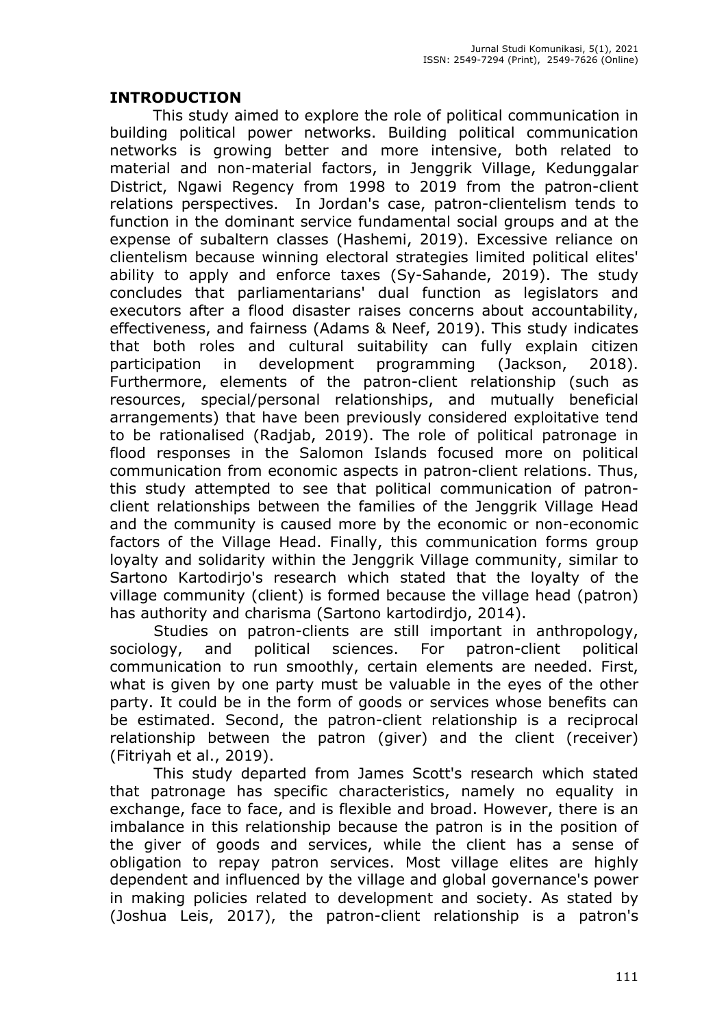## **INTRODUCTION**

This study aimed to explore the role of political communication in building political power networks. Building political communication networks is growing better and more intensive, both related to material and non-material factors, in Jenggrik Village, Kedunggalar District, Ngawi Regency from 1998 to 2019 from the patron-client relations perspectives. In Jordan's case, patron-clientelism tends to function in the dominant service fundamental social groups and at the expense of subaltern classes (Hashemi, 2019). Excessive reliance on clientelism because winning electoral strategies limited political elites' ability to apply and enforce taxes (Sy-Sahande, 2019). The study concludes that parliamentarians' dual function as legislators and executors after a flood disaster raises concerns about accountability, effectiveness, and fairness (Adams & Neef, 2019). This study indicates that both roles and cultural suitability can fully explain citizen participation in development programming (Jackson, 2018). Furthermore, elements of the patron-client relationship (such as resources, special/personal relationships, and mutually beneficial arrangements) that have been previously considered exploitative tend to be rationalised (Radjab, 2019). The role of political patronage in flood responses in the Salomon Islands focused more on political communication from economic aspects in patron-client relations. Thus, this study attempted to see that political communication of patronclient relationships between the families of the Jenggrik Village Head and the community is caused more by the economic or non-economic factors of the Village Head. Finally, this communication forms group loyalty and solidarity within the Jenggrik Village community, similar to Sartono Kartodirjo's research which stated that the loyalty of the village community (client) is formed because the village head (patron) has authority and charisma (Sartono kartodirdjo, 2014).

Studies on patron-clients are still important in anthropology, sociology, and political sciences. For patron-client political communication to run smoothly, certain elements are needed. First, what is given by one party must be valuable in the eyes of the other party. It could be in the form of goods or services whose benefits can be estimated. Second, the patron-client relationship is a reciprocal relationship between the patron (giver) and the client (receiver) (Fitriyah et al., 2019).

This study departed from James Scott's research which stated that patronage has specific characteristics, namely no equality in exchange, face to face, and is flexible and broad. However, there is an imbalance in this relationship because the patron is in the position of the giver of goods and services, while the client has a sense of obligation to repay patron services. Most village elites are highly dependent and influenced by the village and global governance's power in making policies related to development and society. As stated by (Joshua Leis, 2017), the patron-client relationship is a patron's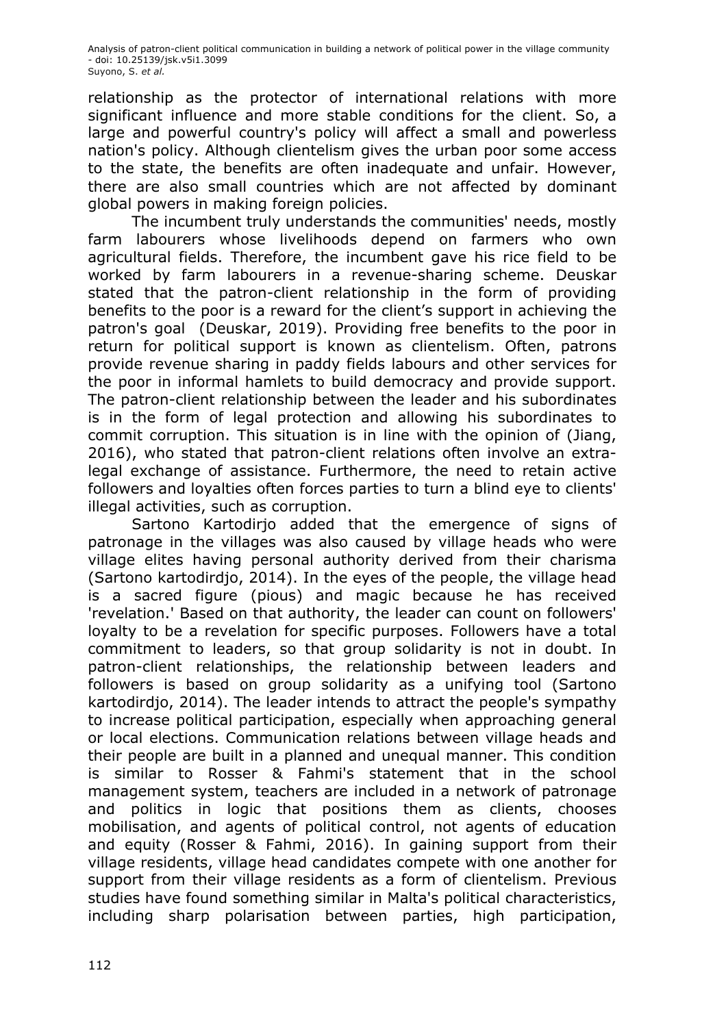relationship as the protector of international relations with more significant influence and more stable conditions for the client. So, a large and powerful country's policy will affect a small and powerless nation's policy. Although clientelism gives the urban poor some access to the state, the benefits are often inadequate and unfair. However, there are also small countries which are not affected by dominant global powers in making foreign policies.

The incumbent truly understands the communities' needs, mostly farm labourers whose livelihoods depend on farmers who own agricultural fields. Therefore, the incumbent gave his rice field to be worked by farm labourers in a revenue-sharing scheme. Deuskar stated that the patron-client relationship in the form of providing benefits to the poor is a reward for the client's support in achieving the patron's goal (Deuskar, 2019). Providing free benefits to the poor in return for political support is known as clientelism. Often, patrons provide revenue sharing in paddy fields labours and other services for the poor in informal hamlets to build democracy and provide support. The patron-client relationship between the leader and his subordinates is in the form of legal protection and allowing his subordinates to commit corruption. This situation is in line with the opinion of (Jiang, 2016), who stated that patron-client relations often involve an extralegal exchange of assistance. Furthermore, the need to retain active followers and loyalties often forces parties to turn a blind eye to clients' illegal activities, such as corruption.

Sartono Kartodirjo added that the emergence of signs of patronage in the villages was also caused by village heads who were village elites having personal authority derived from their charisma (Sartono kartodirdjo, 2014). In the eyes of the people, the village head is a sacred figure (pious) and magic because he has received 'revelation.' Based on that authority, the leader can count on followers' loyalty to be a revelation for specific purposes. Followers have a total commitment to leaders, so that group solidarity is not in doubt. In patron-client relationships, the relationship between leaders and followers is based on group solidarity as a unifying tool (Sartono kartodirdjo, 2014). The leader intends to attract the people's sympathy to increase political participation, especially when approaching general or local elections. Communication relations between village heads and their people are built in a planned and unequal manner. This condition is similar to Rosser & Fahmi's statement that in the school management system, teachers are included in a network of patronage and politics in logic that positions them as clients, chooses mobilisation, and agents of political control, not agents of education and equity (Rosser & Fahmi, 2016). In gaining support from their village residents, village head candidates compete with one another for support from their village residents as a form of clientelism. Previous studies have found something similar in Malta's political characteristics, including sharp polarisation between parties, high participation,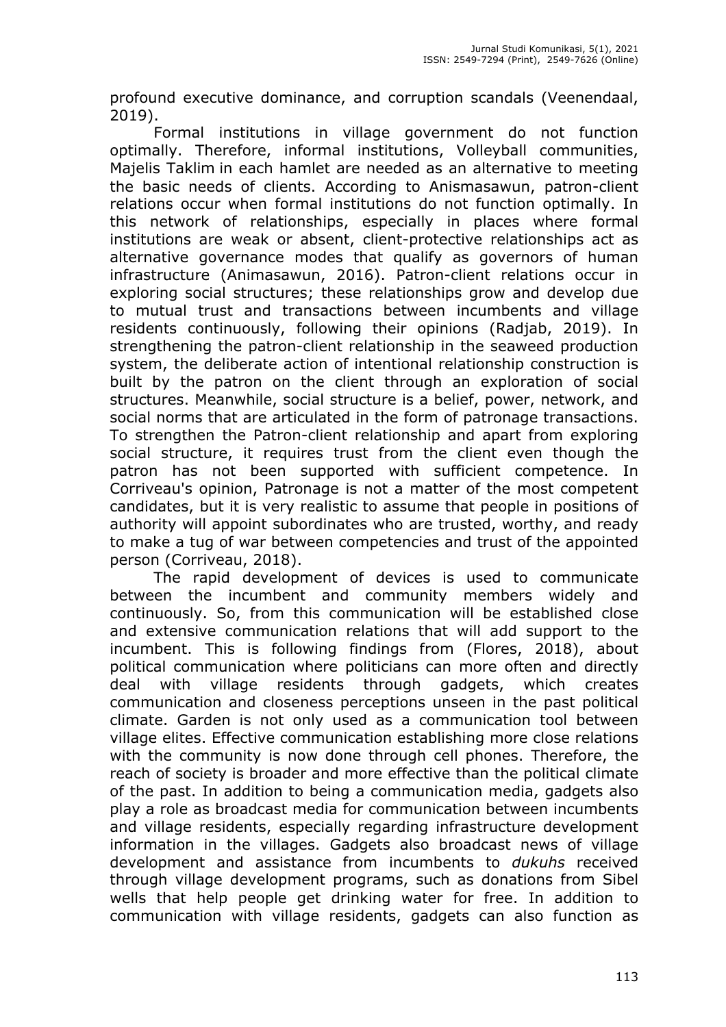profound executive dominance, and corruption scandals (Veenendaal, 2019).

Formal institutions in village government do not function optimally. Therefore, informal institutions, Volleyball communities, Majelis Taklim in each hamlet are needed as an alternative to meeting the basic needs of clients. According to Anismasawun, patron-client relations occur when formal institutions do not function optimally. In this network of relationships, especially in places where formal institutions are weak or absent, client-protective relationships act as alternative governance modes that qualify as governors of human infrastructure (Animasawun, 2016). Patron-client relations occur in exploring social structures; these relationships grow and develop due to mutual trust and transactions between incumbents and village residents continuously, following their opinions (Radjab, 2019). In strengthening the patron-client relationship in the seaweed production system, the deliberate action of intentional relationship construction is built by the patron on the client through an exploration of social structures. Meanwhile, social structure is a belief, power, network, and social norms that are articulated in the form of patronage transactions. To strengthen the Patron-client relationship and apart from exploring social structure, it requires trust from the client even though the patron has not been supported with sufficient competence. In Corriveau's opinion, Patronage is not a matter of the most competent candidates, but it is very realistic to assume that people in positions of authority will appoint subordinates who are trusted, worthy, and ready to make a tug of war between competencies and trust of the appointed person (Corriveau, 2018).

The rapid development of devices is used to communicate between the incumbent and community members widely and continuously. So, from this communication will be established close and extensive communication relations that will add support to the incumbent. This is following findings from (Flores, 2018), about political communication where politicians can more often and directly deal with village residents through gadgets, which creates communication and closeness perceptions unseen in the past political climate. Garden is not only used as a communication tool between village elites. Effective communication establishing more close relations with the community is now done through cell phones. Therefore, the reach of society is broader and more effective than the political climate of the past. In addition to being a communication media, gadgets also play a role as broadcast media for communication between incumbents and village residents, especially regarding infrastructure development information in the villages. Gadgets also broadcast news of village development and assistance from incumbents to *dukuhs* received through village development programs, such as donations from Sibel wells that help people get drinking water for free. In addition to communication with village residents, gadgets can also function as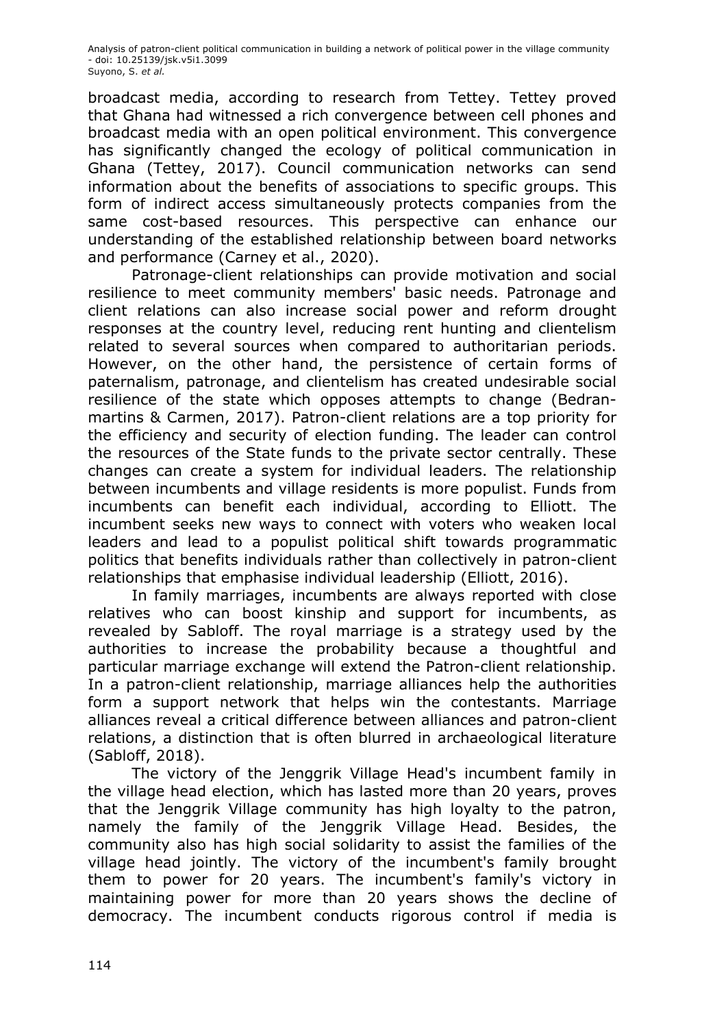broadcast media, according to research from Tettey. Tettey proved that Ghana had witnessed a rich convergence between cell phones and broadcast media with an open political environment. This convergence has significantly changed the ecology of political communication in Ghana (Tettey, 2017). Council communication networks can send information about the benefits of associations to specific groups. This form of indirect access simultaneously protects companies from the same cost-based resources. This perspective can enhance our understanding of the established relationship between board networks and performance (Carney et al., 2020).

Patronage-client relationships can provide motivation and social resilience to meet community members' basic needs. Patronage and client relations can also increase social power and reform drought responses at the country level, reducing rent hunting and clientelism related to several sources when compared to authoritarian periods. However, on the other hand, the persistence of certain forms of paternalism, patronage, and clientelism has created undesirable social resilience of the state which opposes attempts to change (Bedranmartins & Carmen, 2017). Patron-client relations are a top priority for the efficiency and security of election funding. The leader can control the resources of the State funds to the private sector centrally. These changes can create a system for individual leaders. The relationship between incumbents and village residents is more populist. Funds from incumbents can benefit each individual, according to Elliott. The incumbent seeks new ways to connect with voters who weaken local leaders and lead to a populist political shift towards programmatic politics that benefits individuals rather than collectively in patron-client relationships that emphasise individual leadership (Elliott, 2016).

In family marriages, incumbents are always reported with close relatives who can boost kinship and support for incumbents, as revealed by Sabloff. The royal marriage is a strategy used by the authorities to increase the probability because a thoughtful and particular marriage exchange will extend the Patron-client relationship. In a patron-client relationship, marriage alliances help the authorities form a support network that helps win the contestants. Marriage alliances reveal a critical difference between alliances and patron-client relations, a distinction that is often blurred in archaeological literature (Sabloff, 2018).

The victory of the Jenggrik Village Head's incumbent family in the village head election, which has lasted more than 20 years, proves that the Jenggrik Village community has high loyalty to the patron, namely the family of the Jenggrik Village Head. Besides, the community also has high social solidarity to assist the families of the village head jointly. The victory of the incumbent's family brought them to power for 20 years. The incumbent's family's victory in maintaining power for more than 20 years shows the decline of democracy. The incumbent conducts rigorous control if media is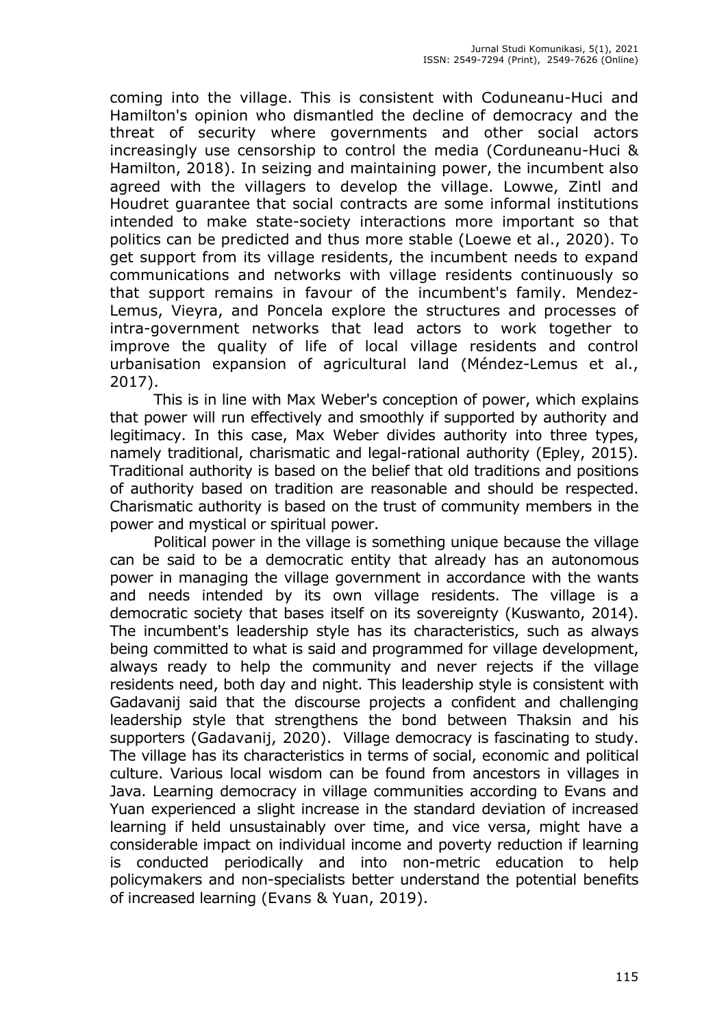coming into the village. This is consistent with Coduneanu-Huci and Hamilton's opinion who dismantled the decline of democracy and the threat of security where governments and other social actors increasingly use censorship to control the media (Corduneanu-Huci & Hamilton, 2018). In seizing and maintaining power, the incumbent also agreed with the villagers to develop the village. Lowwe, Zintl and Houdret guarantee that social contracts are some informal institutions intended to make state-society interactions more important so that politics can be predicted and thus more stable (Loewe et al., 2020). To get support from its village residents, the incumbent needs to expand communications and networks with village residents continuously so that support remains in favour of the incumbent's family. Mendez-Lemus, Vieyra, and Poncela explore the structures and processes of intra-government networks that lead actors to work together to improve the quality of life of local village residents and control urbanisation expansion of agricultural land (Méndez-Lemus et al., 2017).

This is in line with Max Weber's conception of power, which explains that power will run effectively and smoothly if supported by authority and legitimacy. In this case, Max Weber divides authority into three types, namely traditional, charismatic and legal-rational authority (Epley, 2015). Traditional authority is based on the belief that old traditions and positions of authority based on tradition are reasonable and should be respected. Charismatic authority is based on the trust of community members in the power and mystical or spiritual power.

Political power in the village is something unique because the village can be said to be a democratic entity that already has an autonomous power in managing the village government in accordance with the wants and needs intended by its own village residents. The village is a democratic society that bases itself on its sovereignty (Kuswanto, 2014). The incumbent's leadership style has its characteristics, such as always being committed to what is said and programmed for village development, always ready to help the community and never rejects if the village residents need, both day and night. This leadership style is consistent with Gadavanij said that the discourse projects a confident and challenging leadership style that strengthens the bond between Thaksin and his supporters (Gadavanij, 2020). Village democracy is fascinating to study. The village has its characteristics in terms of social, economic and political culture. Various local wisdom can be found from ancestors in villages in Java. Learning democracy in village communities according to Evans and Yuan experienced a slight increase in the standard deviation of increased learning if held unsustainably over time, and vice versa, might have a considerable impact on individual income and poverty reduction if learning is conducted periodically and into non-metric education to help policymakers and non-specialists better understand the potential benefits of increased learning (Evans & Yuan, 2019).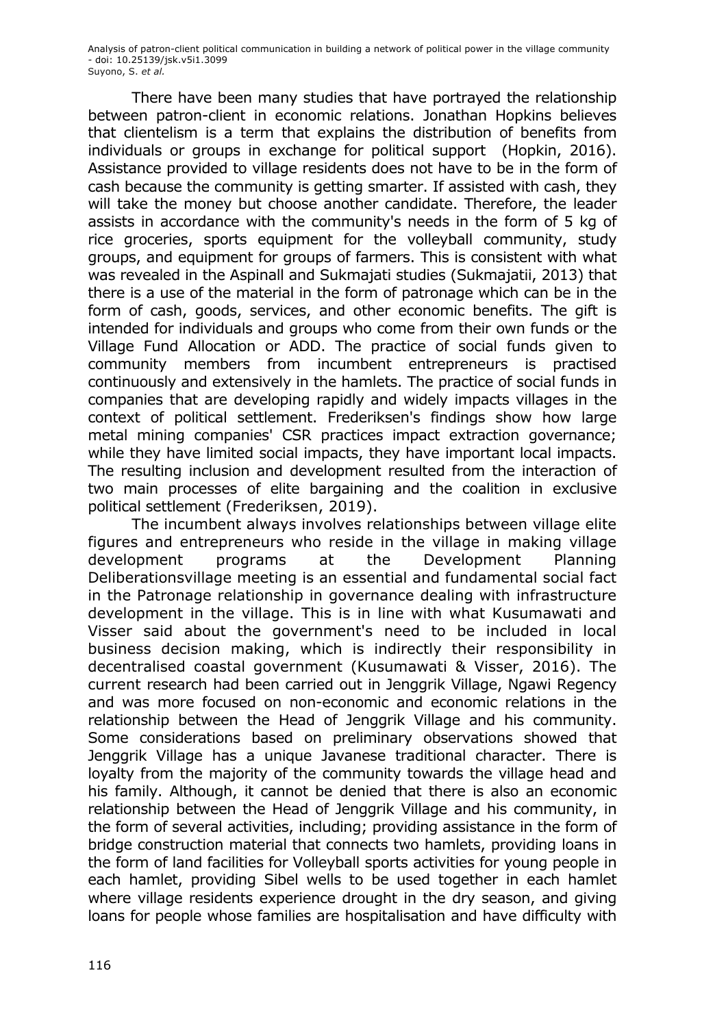There have been many studies that have portrayed the relationship between patron-client in economic relations. Jonathan Hopkins believes that clientelism is a term that explains the distribution of benefits from individuals or groups in exchange for political support (Hopkin, 2016). Assistance provided to village residents does not have to be in the form of cash because the community is getting smarter. If assisted with cash, they will take the money but choose another candidate. Therefore, the leader assists in accordance with the community's needs in the form of 5 kg of rice groceries, sports equipment for the volleyball community, study groups, and equipment for groups of farmers. This is consistent with what was revealed in the Aspinall and Sukmajati studies (Sukmajatii, 2013) that there is a use of the material in the form of patronage which can be in the form of cash, goods, services, and other economic benefits. The gift is intended for individuals and groups who come from their own funds or the Village Fund Allocation or ADD. The practice of social funds given to community members from incumbent entrepreneurs is practised continuously and extensively in the hamlets. The practice of social funds in companies that are developing rapidly and widely impacts villages in the context of political settlement. Frederiksen's findings show how large metal mining companies' CSR practices impact extraction governance; while they have limited social impacts, they have important local impacts. The resulting inclusion and development resulted from the interaction of two main processes of elite bargaining and the coalition in exclusive political settlement (Frederiksen, 2019).

The incumbent always involves relationships between village elite figures and entrepreneurs who reside in the village in making village development programs at the Development Planning Deliberationsvillage meeting is an essential and fundamental social fact in the Patronage relationship in governance dealing with infrastructure development in the village. This is in line with what Kusumawati and Visser said about the government's need to be included in local business decision making, which is indirectly their responsibility in decentralised coastal government (Kusumawati & Visser, 2016). The current research had been carried out in Jenggrik Village, Ngawi Regency and was more focused on non-economic and economic relations in the relationship between the Head of Jenggrik Village and his community. Some considerations based on preliminary observations showed that Jenggrik Village has a unique Javanese traditional character. There is loyalty from the majority of the community towards the village head and his family. Although, it cannot be denied that there is also an economic relationship between the Head of Jenggrik Village and his community, in the form of several activities, including; providing assistance in the form of bridge construction material that connects two hamlets, providing loans in the form of land facilities for Volleyball sports activities for young people in each hamlet, providing Sibel wells to be used together in each hamlet where village residents experience drought in the dry season, and giving loans for people whose families are hospitalisation and have difficulty with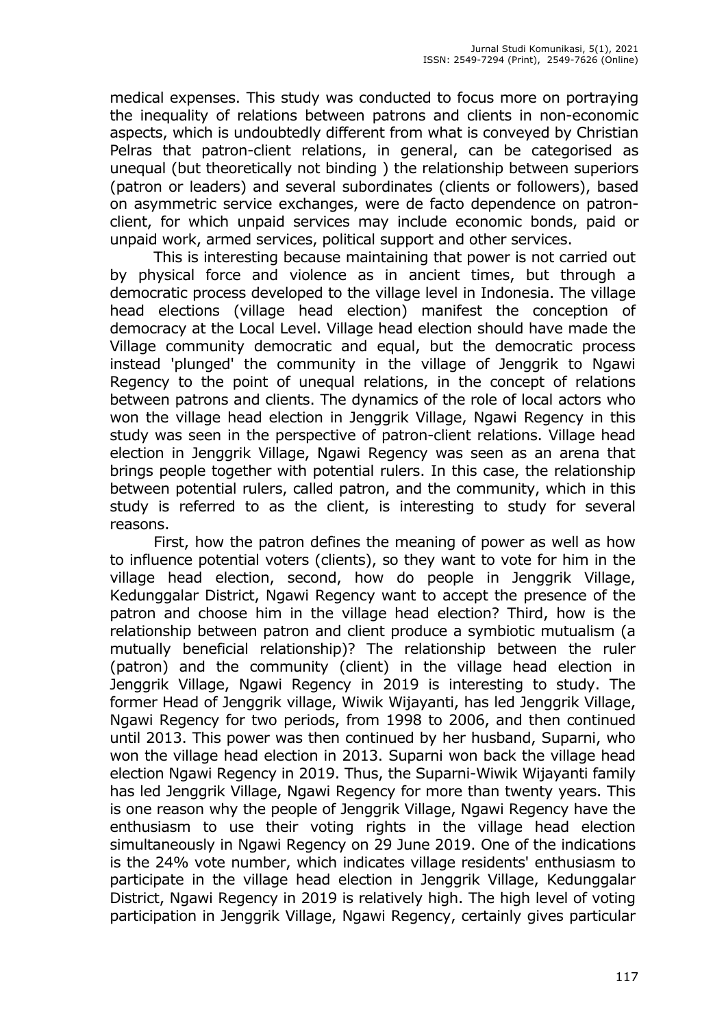medical expenses. This study was conducted to focus more on portraying the inequality of relations between patrons and clients in non-economic aspects, which is undoubtedly different from what is conveyed by Christian Pelras that patron-client relations, in general, can be categorised as unequal (but theoretically not binding ) the relationship between superiors (patron or leaders) and several subordinates (clients or followers), based on asymmetric service exchanges, were de facto dependence on patronclient, for which unpaid services may include economic bonds, paid or unpaid work, armed services, political support and other services.

This is interesting because maintaining that power is not carried out by physical force and violence as in ancient times, but through a democratic process developed to the village level in Indonesia. The village head elections (village head election) manifest the conception of democracy at the Local Level. Village head election should have made the Village community democratic and equal, but the democratic process instead 'plunged' the community in the village of Jenggrik to Ngawi Regency to the point of unequal relations, in the concept of relations between patrons and clients. The dynamics of the role of local actors who won the village head election in Jenggrik Village, Ngawi Regency in this study was seen in the perspective of patron-client relations. Village head election in Jenggrik Village, Ngawi Regency was seen as an arena that brings people together with potential rulers. In this case, the relationship between potential rulers, called patron, and the community, which in this study is referred to as the client, is interesting to study for several reasons.

First, how the patron defines the meaning of power as well as how to influence potential voters (clients), so they want to vote for him in the village head election, second, how do people in Jenggrik Village, Kedunggalar District, Ngawi Regency want to accept the presence of the patron and choose him in the village head election? Third, how is the relationship between patron and client produce a symbiotic mutualism (a mutually beneficial relationship)? The relationship between the ruler (patron) and the community (client) in the village head election in Jenggrik Village, Ngawi Regency in 2019 is interesting to study. The former Head of Jenggrik village, Wiwik Wijayanti, has led Jenggrik Village, Ngawi Regency for two periods, from 1998 to 2006, and then continued until 2013. This power was then continued by her husband, Suparni, who won the village head election in 2013. Suparni won back the village head election Ngawi Regency in 2019. Thus, the Suparni-Wiwik Wijayanti family has led Jenggrik Village, Ngawi Regency for more than twenty years. This is one reason why the people of Jenggrik Village, Ngawi Regency have the enthusiasm to use their voting rights in the village head election simultaneously in Ngawi Regency on 29 June 2019. One of the indications is the 24% vote number, which indicates village residents' enthusiasm to participate in the village head election in Jenggrik Village, Kedunggalar District, Ngawi Regency in 2019 is relatively high. The high level of voting participation in Jenggrik Village, Ngawi Regency, certainly gives particular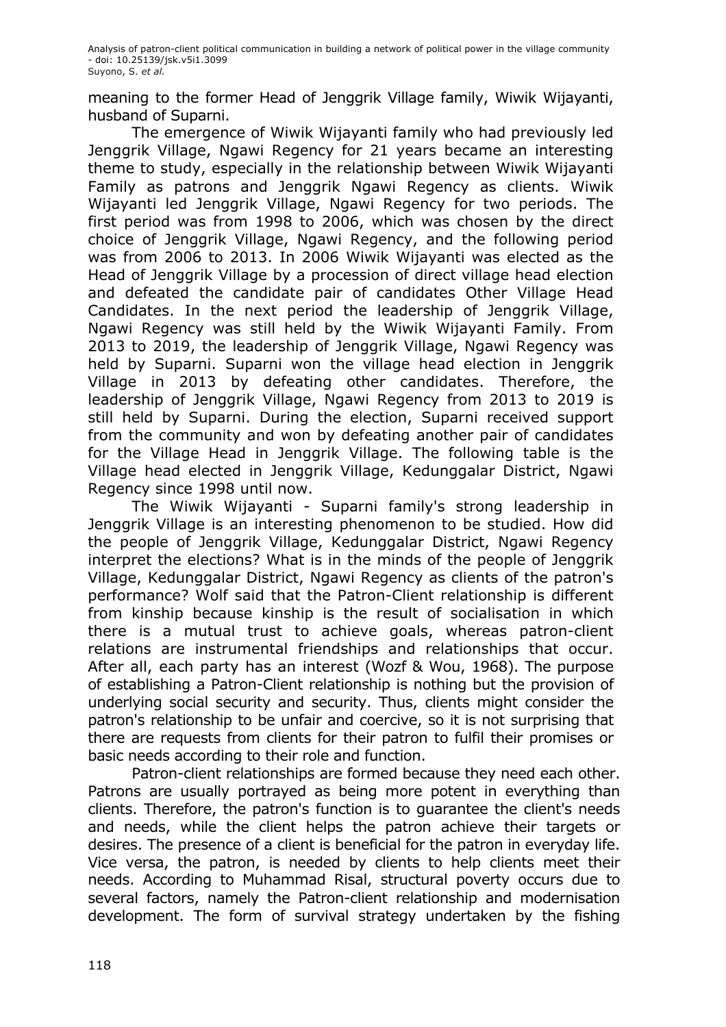meaning to the former Head of Jenggrik Village family, Wiwik Wijayanti, husband of Suparni.

The emergence of Wiwik Wijayanti family who had previously led Jenggrik Village, Ngawi Regency for 21 years became an interesting theme to study, especially in the relationship between Wiwik Wijayanti Family as patrons and Jenggrik Ngawi Regency as clients. Wiwik Wijayanti led Jenggrik Village, Ngawi Regency for two periods. The first period was from 1998 to 2006, which was chosen by the direct choice of Jenggrik Village, Ngawi Regency, and the following period was from 2006 to 2013. In 2006 Wiwik Wijayanti was elected as the Head of Jenggrik Village by a procession of direct village head election and defeated the candidate pair of candidates Other Village Head Candidates. In the next period the leadership of Jenggrik Village, Ngawi Regency was still held by the Wiwik Wijayanti Family. From 2013 to 2019, the leadership of Jenggrik Village, Ngawi Regency was held by Suparni. Suparni won the village head election in Jenggrik Village in 2013 by defeating other candidates. Therefore, the leadership of Jenggrik Village, Ngawi Regency from 2013 to 2019 is still held by Suparni. During the election, Suparni received support from the community and won by defeating another pair of candidates for the Village Head in Jenggrik Village. The following table is the Village head elected in Jenggrik Village, Kedunggalar District, Ngawi Regency since 1998 until now.

The Wiwik Wijayanti - Suparni family's strong leadership in Jenggrik Village is an interesting phenomenon to be studied. How did the people of Jenggrik Village, Kedunggalar District, Ngawi Regency interpret the elections? What is in the minds of the people of Jenggrik Village, Kedunggalar District, Ngawi Regency as clients of the patron's performance? Wolf said that the Patron-Client relationship is different from kinship because kinship is the result of socialisation in which there is a mutual trust to achieve goals, whereas patron-client relations are instrumental friendships and relationships that occur. After all, each party has an interest (Wozf & Wou, 1968). The purpose of establishing a Patron-Client relationship is nothing but the provision of underlying social security and security. Thus, clients might consider the patron's relationship to be unfair and coercive, so it is not surprising that there are requests from clients for their patron to fulfil their promises or basic needs according to their role and function.

Patron-client relationships are formed because they need each other. Patrons are usually portrayed as being more potent in everything than clients. Therefore, the patron's function is to guarantee the client's needs and needs, while the client helps the patron achieve their targets or desires. The presence of a client is beneficial for the patron in everyday life. Vice versa, the patron, is needed by clients to help clients meet their needs. According to Muhammad Risal, structural poverty occurs due to several factors, namely the Patron-client relationship and modernisation development. The form of survival strategy undertaken by the fishing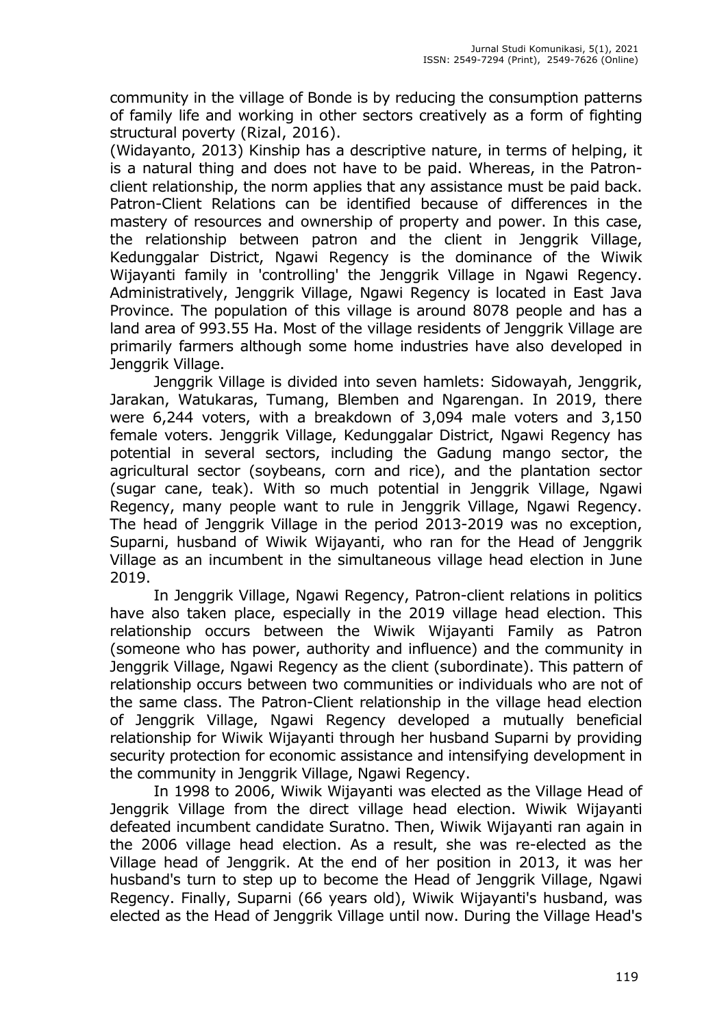community in the village of Bonde is by reducing the consumption patterns of family life and working in other sectors creatively as a form of fighting structural poverty (Rizal, 2016).

(Widayanto, 2013) Kinship has a descriptive nature, in terms of helping, it is a natural thing and does not have to be paid. Whereas, in the Patronclient relationship, the norm applies that any assistance must be paid back. Patron-Client Relations can be identified because of differences in the mastery of resources and ownership of property and power. In this case, the relationship between patron and the client in Jenggrik Village, Kedunggalar District, Ngawi Regency is the dominance of the Wiwik Wijayanti family in 'controlling' the Jenggrik Village in Ngawi Regency. Administratively, Jenggrik Village, Ngawi Regency is located in East Java Province. The population of this village is around 8078 people and has a land area of 993.55 Ha. Most of the village residents of Jenggrik Village are primarily farmers although some home industries have also developed in Jenggrik Village.

Jenggrik Village is divided into seven hamlets: Sidowayah, Jenggrik, Jarakan, Watukaras, Tumang, Blemben and Ngarengan. In 2019, there were 6,244 voters, with a breakdown of 3,094 male voters and 3,150 female voters. Jenggrik Village, Kedunggalar District, Ngawi Regency has potential in several sectors, including the Gadung mango sector, the agricultural sector (soybeans, corn and rice), and the plantation sector (sugar cane, teak). With so much potential in Jenggrik Village, Ngawi Regency, many people want to rule in Jenggrik Village, Ngawi Regency. The head of Jenggrik Village in the period 2013-2019 was no exception, Suparni, husband of Wiwik Wijayanti, who ran for the Head of Jenggrik Village as an incumbent in the simultaneous village head election in June 2019.

In Jenggrik Village, Ngawi Regency, Patron-client relations in politics have also taken place, especially in the 2019 village head election. This relationship occurs between the Wiwik Wijayanti Family as Patron (someone who has power, authority and influence) and the community in Jenggrik Village, Ngawi Regency as the client (subordinate). This pattern of relationship occurs between two communities or individuals who are not of the same class. The Patron-Client relationship in the village head election of Jenggrik Village, Ngawi Regency developed a mutually beneficial relationship for Wiwik Wijayanti through her husband Suparni by providing security protection for economic assistance and intensifying development in the community in Jenggrik Village, Ngawi Regency.

In 1998 to 2006, Wiwik Wijayanti was elected as the Village Head of Jenggrik Village from the direct village head election. Wiwik Wijayanti defeated incumbent candidate Suratno. Then, Wiwik Wijayanti ran again in the 2006 village head election. As a result, she was re-elected as the Village head of Jenggrik. At the end of her position in 2013, it was her husband's turn to step up to become the Head of Jenggrik Village, Ngawi Regency. Finally, Suparni (66 years old), Wiwik Wijayanti's husband, was elected as the Head of Jenggrik Village until now. During the Village Head's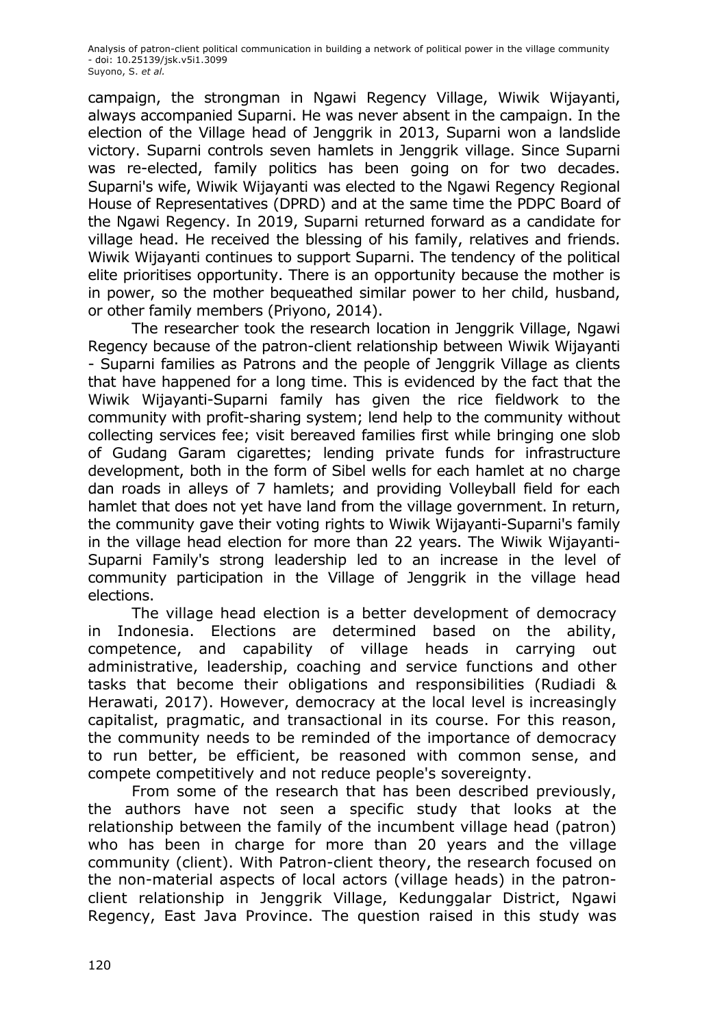campaign, the strongman in Ngawi Regency Village, Wiwik Wijayanti, always accompanied Suparni. He was never absent in the campaign. In the election of the Village head of Jenggrik in 2013, Suparni won a landslide victory. Suparni controls seven hamlets in Jenggrik village. Since Suparni was re-elected, family politics has been going on for two decades. Suparni's wife, Wiwik Wijayanti was elected to the Ngawi Regency Regional House of Representatives (DPRD) and at the same time the PDPC Board of the Ngawi Regency. In 2019, Suparni returned forward as a candidate for village head. He received the blessing of his family, relatives and friends. Wiwik Wijayanti continues to support Suparni. The tendency of the political elite prioritises opportunity. There is an opportunity because the mother is in power, so the mother bequeathed similar power to her child, husband, or other family members (Priyono, 2014).

The researcher took the research location in Jenggrik Village, Ngawi Regency because of the patron-client relationship between Wiwik Wijayanti - Suparni families as Patrons and the people of Jenggrik Village as clients that have happened for a long time. This is evidenced by the fact that the Wiwik Wijayanti-Suparni family has given the rice fieldwork to the community with profit-sharing system; lend help to the community without collecting services fee; visit bereaved families first while bringing one slob of Gudang Garam cigarettes; lending private funds for infrastructure development, both in the form of Sibel wells for each hamlet at no charge dan roads in alleys of 7 hamlets; and providing Volleyball field for each hamlet that does not yet have land from the village government. In return, the community gave their voting rights to Wiwik Wijayanti-Suparni's family in the village head election for more than 22 years. The Wiwik Wijayanti-Suparni Family's strong leadership led to an increase in the level of community participation in the Village of Jenggrik in the village head elections.

The village head election is a better development of democracy in Indonesia. Elections are determined based on the ability, competence, and capability of village heads in carrying out administrative, leadership, coaching and service functions and other tasks that become their obligations and responsibilities (Rudiadi & Herawati, 2017). However, democracy at the local level is increasingly capitalist, pragmatic, and transactional in its course. For this reason, the community needs to be reminded of the importance of democracy to run better, be efficient, be reasoned with common sense, and compete competitively and not reduce people's sovereignty.

From some of the research that has been described previously, the authors have not seen a specific study that looks at the relationship between the family of the incumbent village head (patron) who has been in charge for more than 20 years and the village community (client). With Patron-client theory, the research focused on the non-material aspects of local actors (village heads) in the patronclient relationship in Jenggrik Village, Kedunggalar District, Ngawi Regency, East Java Province. The question raised in this study was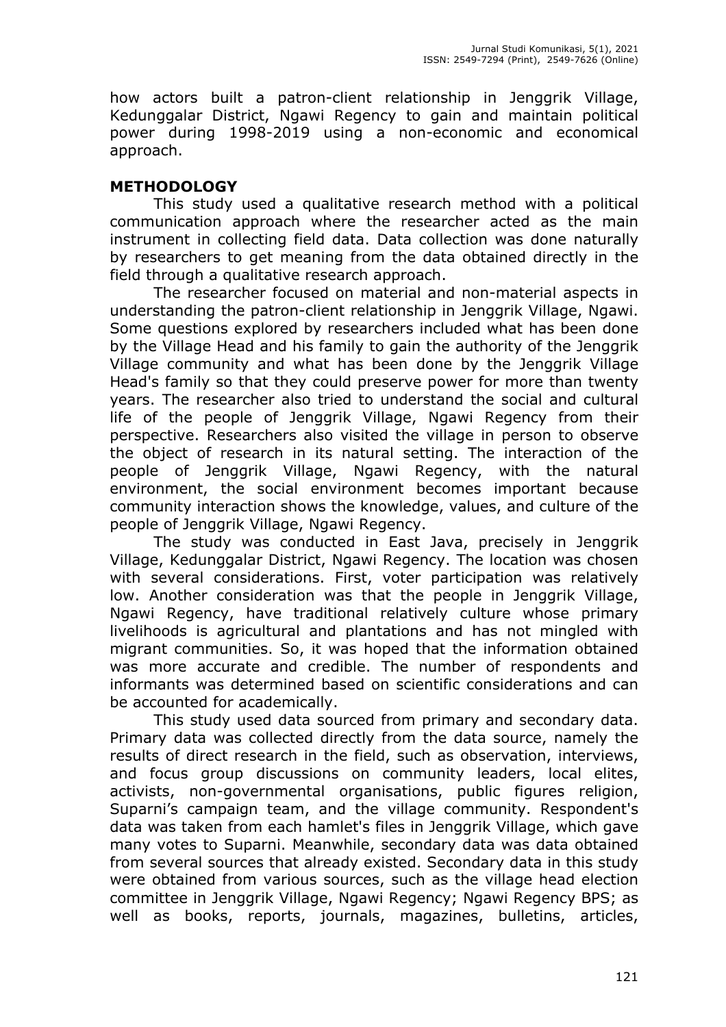how actors built a patron-client relationship in Jenggrik Village, Kedunggalar District, Ngawi Regency to gain and maintain political power during 1998-2019 using a non-economic and economical approach.

## **METHODOLOGY**

This study used a qualitative research method with a political communication approach where the researcher acted as the main instrument in collecting field data. Data collection was done naturally by researchers to get meaning from the data obtained directly in the field through a qualitative research approach.

The researcher focused on material and non-material aspects in understanding the patron-client relationship in Jenggrik Village, Ngawi. Some questions explored by researchers included what has been done by the Village Head and his family to gain the authority of the Jenggrik Village community and what has been done by the Jenggrik Village Head's family so that they could preserve power for more than twenty years. The researcher also tried to understand the social and cultural life of the people of Jenggrik Village, Ngawi Regency from their perspective. Researchers also visited the village in person to observe the object of research in its natural setting. The interaction of the people of Jenggrik Village, Ngawi Regency, with the natural environment, the social environment becomes important because community interaction shows the knowledge, values, and culture of the people of Jenggrik Village, Ngawi Regency.

The study was conducted in East Java, precisely in Jenggrik Village, Kedunggalar District, Ngawi Regency. The location was chosen with several considerations. First, voter participation was relatively low. Another consideration was that the people in Jenggrik Village, Ngawi Regency, have traditional relatively culture whose primary livelihoods is agricultural and plantations and has not mingled with migrant communities. So, it was hoped that the information obtained was more accurate and credible. The number of respondents and informants was determined based on scientific considerations and can be accounted for academically.

This study used data sourced from primary and secondary data. Primary data was collected directly from the data source, namely the results of direct research in the field, such as observation, interviews, and focus group discussions on community leaders, local elites, activists, non-governmental organisations, public figures religion, Suparni's campaign team, and the village community. Respondent's data was taken from each hamlet's files in Jenggrik Village, which gave many votes to Suparni. Meanwhile, secondary data was data obtained from several sources that already existed. Secondary data in this study were obtained from various sources, such as the village head election committee in Jenggrik Village, Ngawi Regency; Ngawi Regency BPS; as well as books, reports, journals, magazines, bulletins, articles,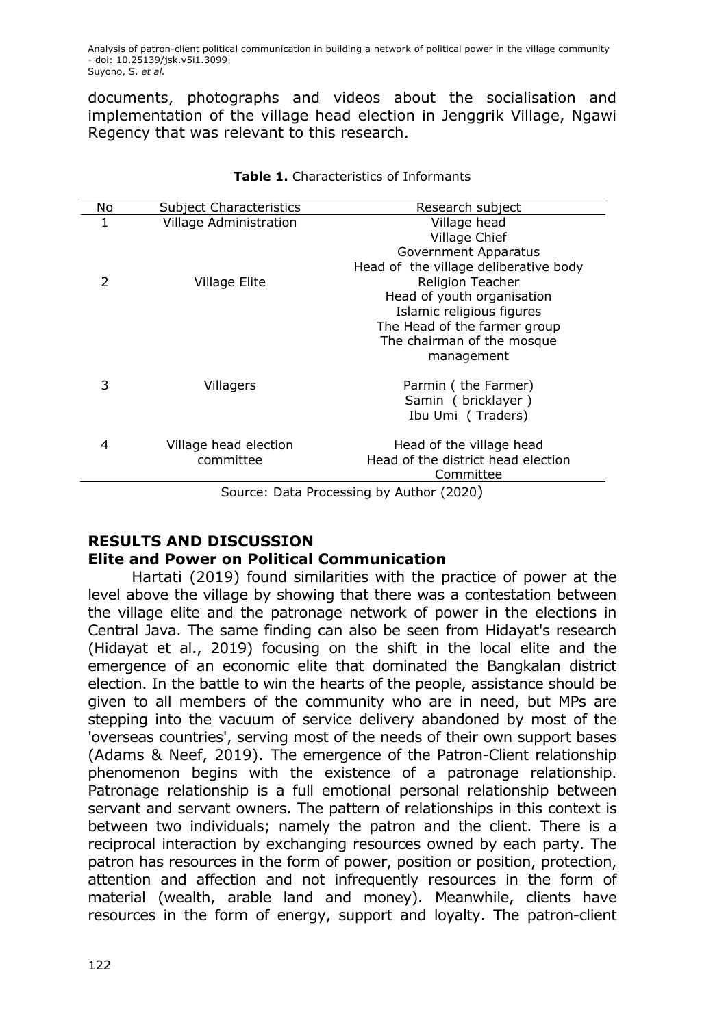documents, photographs and videos about the socialisation and implementation of the village head election in Jenggrik Village, Ngawi Regency that was relevant to this research.

| No                                       | <b>Subject Characteristics</b> | Research subject                      |
|------------------------------------------|--------------------------------|---------------------------------------|
| 1                                        | Village Administration         | Village head                          |
|                                          |                                | Village Chief                         |
|                                          |                                | Government Apparatus                  |
|                                          |                                | Head of the village deliberative body |
| $\mathcal{P}$                            | Village Elite                  | <b>Religion Teacher</b>               |
|                                          |                                | Head of youth organisation            |
|                                          |                                | Islamic religious figures             |
|                                          |                                | The Head of the farmer group          |
|                                          |                                | The chairman of the mosque            |
|                                          |                                | management                            |
| 3                                        | Villagers                      | Parmin (the Farmer)                   |
|                                          |                                | Samin (bricklayer)                    |
|                                          |                                | Ibu Umi (Traders)                     |
| 4                                        | Village head election          | Head of the village head              |
|                                          | committee                      | Head of the district head election    |
|                                          |                                | Committee                             |
| Coursey Data Dressesing by Author (2020) |                                |                                       |

#### **Table 1.** Characteristics of Informants

Source: Data Processing by Author (2020)

# **RESULTS AND DISCUSSION**

## **Elite and Power on Political Communication**

Hartati (2019) found similarities with the practice of power at the level above the village by showing that there was a contestation between the village elite and the patronage network of power in the elections in Central Java. The same finding can also be seen from Hidayat's research (Hidayat et al., 2019) focusing on the shift in the local elite and the emergence of an economic elite that dominated the Bangkalan district election. In the battle to win the hearts of the people, assistance should be given to all members of the community who are in need, but MPs are stepping into the vacuum of service delivery abandoned by most of the 'overseas countries', serving most of the needs of their own support bases (Adams & Neef, 2019). The emergence of the Patron-Client relationship phenomenon begins with the existence of a patronage relationship. Patronage relationship is a full emotional personal relationship between servant and servant owners. The pattern of relationships in this context is between two individuals; namely the patron and the client. There is a reciprocal interaction by exchanging resources owned by each party. The patron has resources in the form of power, position or position, protection, attention and affection and not infrequently resources in the form of material (wealth, arable land and money). Meanwhile, clients have resources in the form of energy, support and loyalty. The patron-client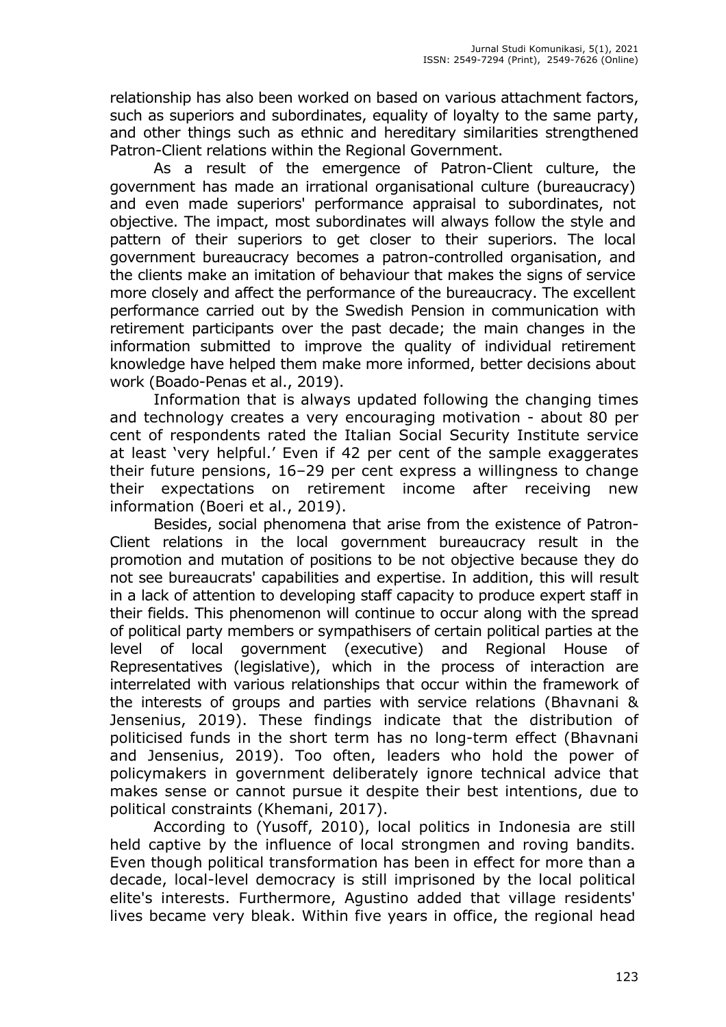relationship has also been worked on based on various attachment factors, such as superiors and subordinates, equality of loyalty to the same party, and other things such as ethnic and hereditary similarities strengthened Patron-Client relations within the Regional Government.

As a result of the emergence of Patron-Client culture, the government has made an irrational organisational culture (bureaucracy) and even made superiors' performance appraisal to subordinates, not objective. The impact, most subordinates will always follow the style and pattern of their superiors to get closer to their superiors. The local government bureaucracy becomes a patron-controlled organisation, and the clients make an imitation of behaviour that makes the signs of service more closely and affect the performance of the bureaucracy. The excellent performance carried out by the Swedish Pension in communication with retirement participants over the past decade; the main changes in the information submitted to improve the quality of individual retirement knowledge have helped them make more informed, better decisions about work (Boado-Penas et al., 2019).

Information that is always updated following the changing times and technology creates a very encouraging motivation - about 80 per cent of respondents rated the Italian Social Security Institute service at least 'very helpful.' Even if 42 per cent of the sample exaggerates their future pensions, 16–29 per cent express a willingness to change their expectations on retirement income after receiving new information (Boeri et al., 2019).

Besides, social phenomena that arise from the existence of Patron-Client relations in the local government bureaucracy result in the promotion and mutation of positions to be not objective because they do not see bureaucrats' capabilities and expertise. In addition, this will result in a lack of attention to developing staff capacity to produce expert staff in their fields. This phenomenon will continue to occur along with the spread of political party members or sympathisers of certain political parties at the level of local government (executive) and Regional House of Representatives (legislative), which in the process of interaction are interrelated with various relationships that occur within the framework of the interests of groups and parties with service relations (Bhavnani & Jensenius, 2019). These findings indicate that the distribution of politicised funds in the short term has no long-term effect (Bhavnani and Jensenius, 2019). Too often, leaders who hold the power of policymakers in government deliberately ignore technical advice that makes sense or cannot pursue it despite their best intentions, due to political constraints (Khemani, 2017).

According to (Yusoff, 2010), local politics in Indonesia are still held captive by the influence of local strongmen and roving bandits. Even though political transformation has been in effect for more than a decade, local-level democracy is still imprisoned by the local political elite's interests. Furthermore, Agustino added that village residents' lives became very bleak. Within five years in office, the regional head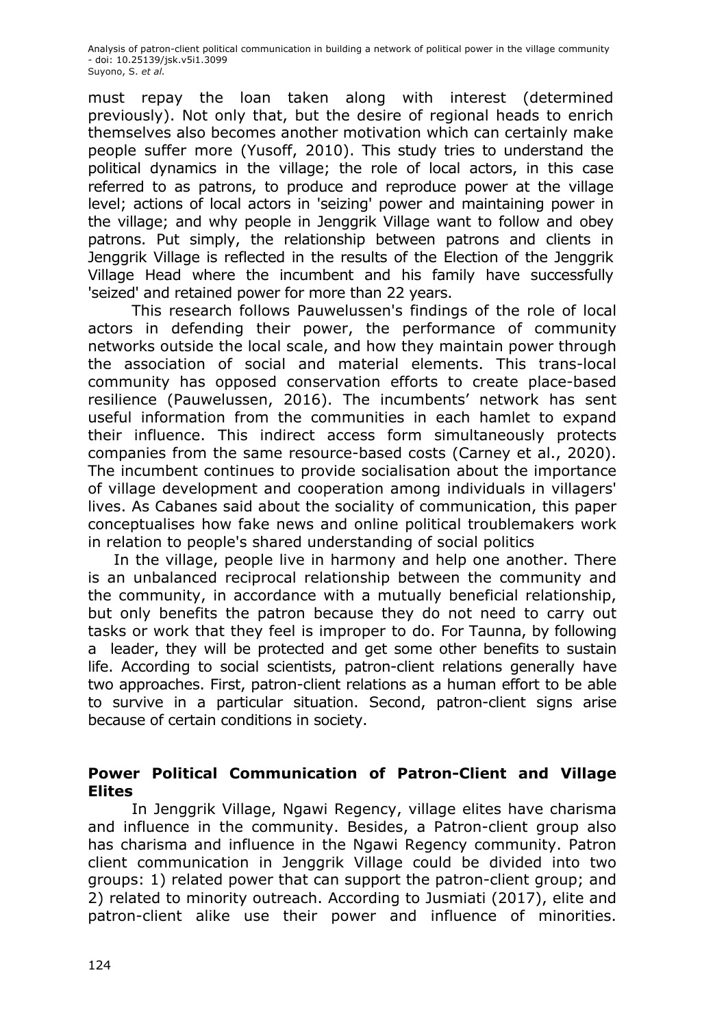must repay the loan taken along with interest (determined previously). Not only that, but the desire of regional heads to enrich themselves also becomes another motivation which can certainly make people suffer more (Yusoff, 2010). This study tries to understand the political dynamics in the village; the role of local actors, in this case referred to as patrons, to produce and reproduce power at the village level; actions of local actors in 'seizing' power and maintaining power in the village; and why people in Jenggrik Village want to follow and obey patrons. Put simply, the relationship between patrons and clients in Jenggrik Village is reflected in the results of the Election of the Jenggrik Village Head where the incumbent and his family have successfully 'seized' and retained power for more than 22 years.

This research follows Pauwelussen's findings of the role of local actors in defending their power, the performance of community networks outside the local scale, and how they maintain power through the association of social and material elements. This trans-local community has opposed conservation efforts to create place-based resilience (Pauwelussen, 2016). The incumbents' network has sent useful information from the communities in each hamlet to expand their influence. This indirect access form simultaneously protects companies from the same resource-based costs (Carney et al., 2020). The incumbent continues to provide socialisation about the importance of village development and cooperation among individuals in villagers' lives. As Cabanes said about the sociality of communication, this paper conceptualises how fake news and online political troublemakers work in relation to people's shared understanding of social politics

In the village, people live in harmony and help one another. There is an unbalanced reciprocal relationship between the community and the community, in accordance with a mutually beneficial relationship, but only benefits the patron because they do not need to carry out tasks or work that they feel is improper to do. For Taunna, by following a leader, they will be protected and get some other benefits to sustain life. According to social scientists, patron-client relations generally have two approaches. First, patron-client relations as a human effort to be able to survive in a particular situation. Second, patron-client signs arise because of certain conditions in society.

## **Power Political Communication of Patron-Client and Village Elites**

In Jenggrik Village, Ngawi Regency, village elites have charisma and influence in the community. Besides, a Patron-client group also has charisma and influence in the Ngawi Regency community. Patron client communication in Jenggrik Village could be divided into two groups: 1) related power that can support the patron-client group; and 2) related to minority outreach. According to Jusmiati (2017), elite and patron-client alike use their power and influence of minorities.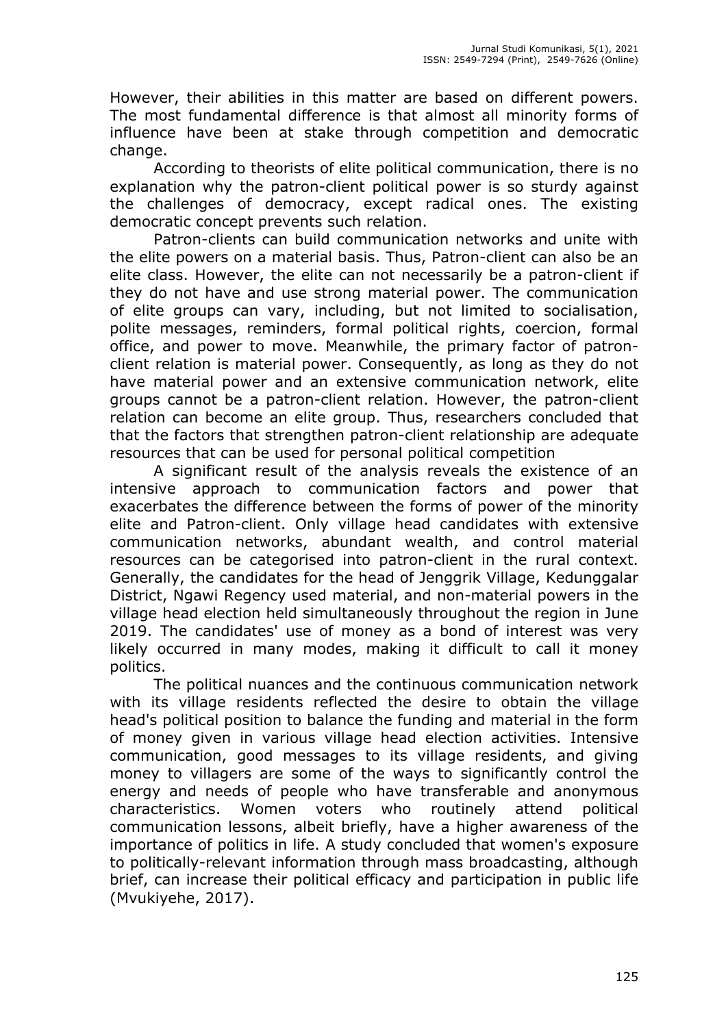However, their abilities in this matter are based on different powers. The most fundamental difference is that almost all minority forms of influence have been at stake through competition and democratic change.

According to theorists of elite political communication, there is no explanation why the patron-client political power is so sturdy against the challenges of democracy, except radical ones. The existing democratic concept prevents such relation.

Patron-clients can build communication networks and unite with the elite powers on a material basis. Thus, Patron-client can also be an elite class. However, the elite can not necessarily be a patron-client if they do not have and use strong material power. The communication of elite groups can vary, including, but not limited to socialisation, polite messages, reminders, formal political rights, coercion, formal office, and power to move. Meanwhile, the primary factor of patronclient relation is material power. Consequently, as long as they do not have material power and an extensive communication network, elite groups cannot be a patron-client relation. However, the patron-client relation can become an elite group. Thus, researchers concluded that that the factors that strengthen patron-client relationship are adequate resources that can be used for personal political competition

A significant result of the analysis reveals the existence of an intensive approach to communication factors and power that exacerbates the difference between the forms of power of the minority elite and Patron-client. Only village head candidates with extensive communication networks, abundant wealth, and control material resources can be categorised into patron-client in the rural context. Generally, the candidates for the head of Jenggrik Village, Kedunggalar District, Ngawi Regency used material, and non-material powers in the village head election held simultaneously throughout the region in June 2019. The candidates' use of money as a bond of interest was very likely occurred in many modes, making it difficult to call it money politics.

The political nuances and the continuous communication network with its village residents reflected the desire to obtain the village head's political position to balance the funding and material in the form of money given in various village head election activities. Intensive communication, good messages to its village residents, and giving money to villagers are some of the ways to significantly control the energy and needs of people who have transferable and anonymous characteristics. Women voters who routinely attend political communication lessons, albeit briefly, have a higher awareness of the importance of politics in life. A study concluded that women's exposure to politically-relevant information through mass broadcasting, although brief, can increase their political efficacy and participation in public life (Mvukiyehe, 2017).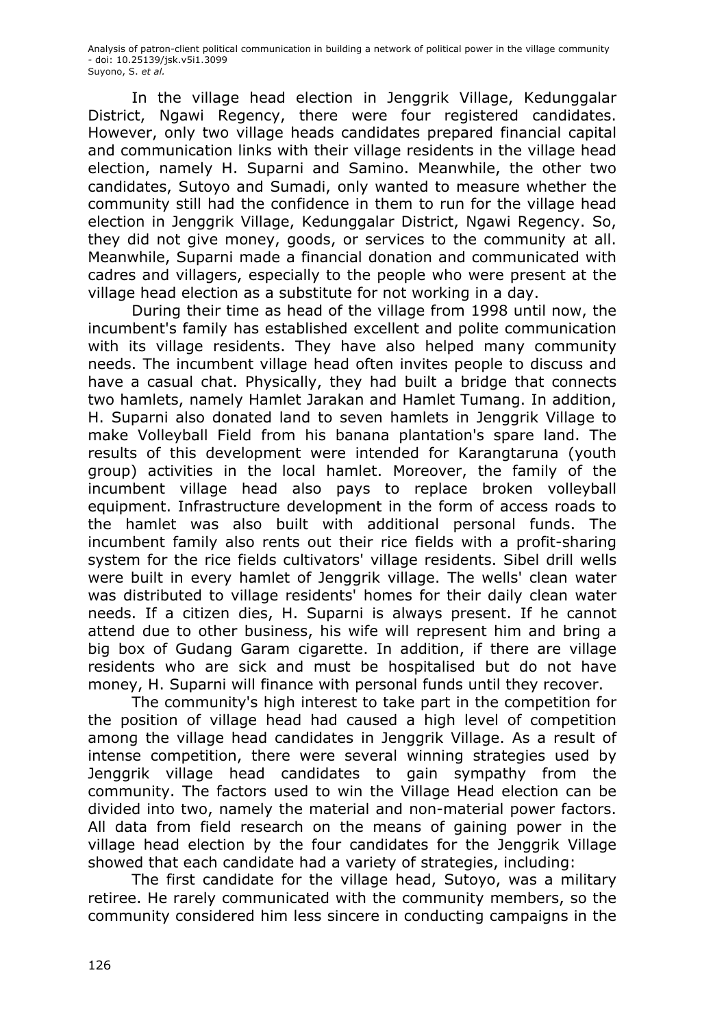In the village head election in Jenggrik Village, Kedunggalar District, Ngawi Regency, there were four registered candidates. However, only two village heads candidates prepared financial capital and communication links with their village residents in the village head election, namely H. Suparni and Samino. Meanwhile, the other two candidates, Sutoyo and Sumadi, only wanted to measure whether the community still had the confidence in them to run for the village head election in Jenggrik Village, Kedunggalar District, Ngawi Regency. So, they did not give money, goods, or services to the community at all. Meanwhile, Suparni made a financial donation and communicated with cadres and villagers, especially to the people who were present at the village head election as a substitute for not working in a day.

During their time as head of the village from 1998 until now, the incumbent's family has established excellent and polite communication with its village residents. They have also helped many community needs. The incumbent village head often invites people to discuss and have a casual chat. Physically, they had built a bridge that connects two hamlets, namely Hamlet Jarakan and Hamlet Tumang. In addition, H. Suparni also donated land to seven hamlets in Jenggrik Village to make Volleyball Field from his banana plantation's spare land. The results of this development were intended for Karangtaruna (youth group) activities in the local hamlet. Moreover, the family of the incumbent village head also pays to replace broken volleyball equipment. Infrastructure development in the form of access roads to the hamlet was also built with additional personal funds. The incumbent family also rents out their rice fields with a profit-sharing system for the rice fields cultivators' village residents. Sibel drill wells were built in every hamlet of Jenggrik village. The wells' clean water was distributed to village residents' homes for their daily clean water needs. If a citizen dies, H. Suparni is always present. If he cannot attend due to other business, his wife will represent him and bring a big box of Gudang Garam cigarette. In addition, if there are village residents who are sick and must be hospitalised but do not have money, H. Suparni will finance with personal funds until they recover.

The community's high interest to take part in the competition for the position of village head had caused a high level of competition among the village head candidates in Jenggrik Village. As a result of intense competition, there were several winning strategies used by Jenggrik village head candidates to gain sympathy from the community. The factors used to win the Village Head election can be divided into two, namely the material and non-material power factors. All data from field research on the means of gaining power in the village head election by the four candidates for the Jenggrik Village showed that each candidate had a variety of strategies, including:

The first candidate for the village head, Sutoyo, was a military retiree. He rarely communicated with the community members, so the community considered him less sincere in conducting campaigns in the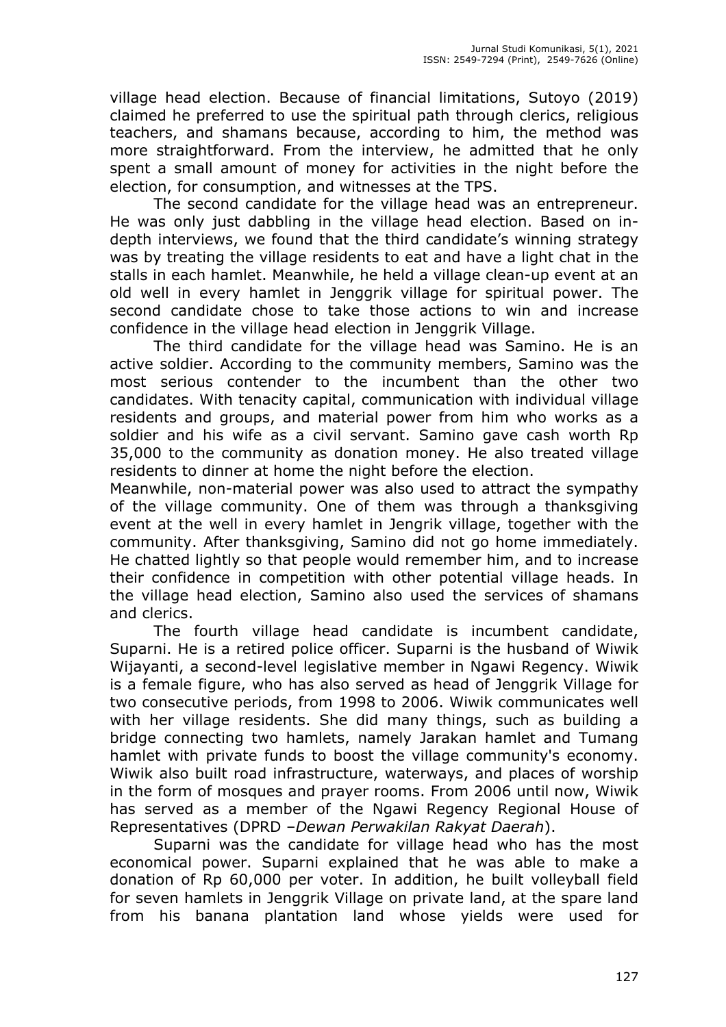village head election. Because of financial limitations, Sutoyo (2019) claimed he preferred to use the spiritual path through clerics, religious teachers, and shamans because, according to him, the method was more straightforward. From the interview, he admitted that he only spent a small amount of money for activities in the night before the election, for consumption, and witnesses at the TPS.

The second candidate for the village head was an entrepreneur. He was only just dabbling in the village head election. Based on indepth interviews, we found that the third candidate's winning strategy was by treating the village residents to eat and have a light chat in the stalls in each hamlet. Meanwhile, he held a village clean-up event at an old well in every hamlet in Jenggrik village for spiritual power. The second candidate chose to take those actions to win and increase confidence in the village head election in Jenggrik Village.

The third candidate for the village head was Samino. He is an active soldier. According to the community members, Samino was the most serious contender to the incumbent than the other two candidates. With tenacity capital, communication with individual village residents and groups, and material power from him who works as a soldier and his wife as a civil servant. Samino gave cash worth Rp 35,000 to the community as donation money. He also treated village residents to dinner at home the night before the election.

Meanwhile, non-material power was also used to attract the sympathy of the village community. One of them was through a thanksgiving event at the well in every hamlet in Jengrik village, together with the community. After thanksgiving, Samino did not go home immediately. He chatted lightly so that people would remember him, and to increase their confidence in competition with other potential village heads. In the village head election, Samino also used the services of shamans and clerics.

The fourth village head candidate is incumbent candidate, Suparni. He is a retired police officer. Suparni is the husband of Wiwik Wijayanti, a second-level legislative member in Ngawi Regency. Wiwik is a female figure, who has also served as head of Jenggrik Village for two consecutive periods, from 1998 to 2006. Wiwik communicates well with her village residents. She did many things, such as building a bridge connecting two hamlets, namely Jarakan hamlet and Tumang hamlet with private funds to boost the village community's economy. Wiwik also built road infrastructure, waterways, and places of worship in the form of mosques and prayer rooms. From 2006 until now, Wiwik has served as a member of the Ngawi Regency Regional House of Representatives (DPRD –*Dewan Perwakilan Rakyat Daerah*).

Suparni was the candidate for village head who has the most economical power. Suparni explained that he was able to make a donation of Rp 60,000 per voter. In addition, he built volleyball field for seven hamlets in Jenggrik Village on private land, at the spare land from his banana plantation land whose yields were used for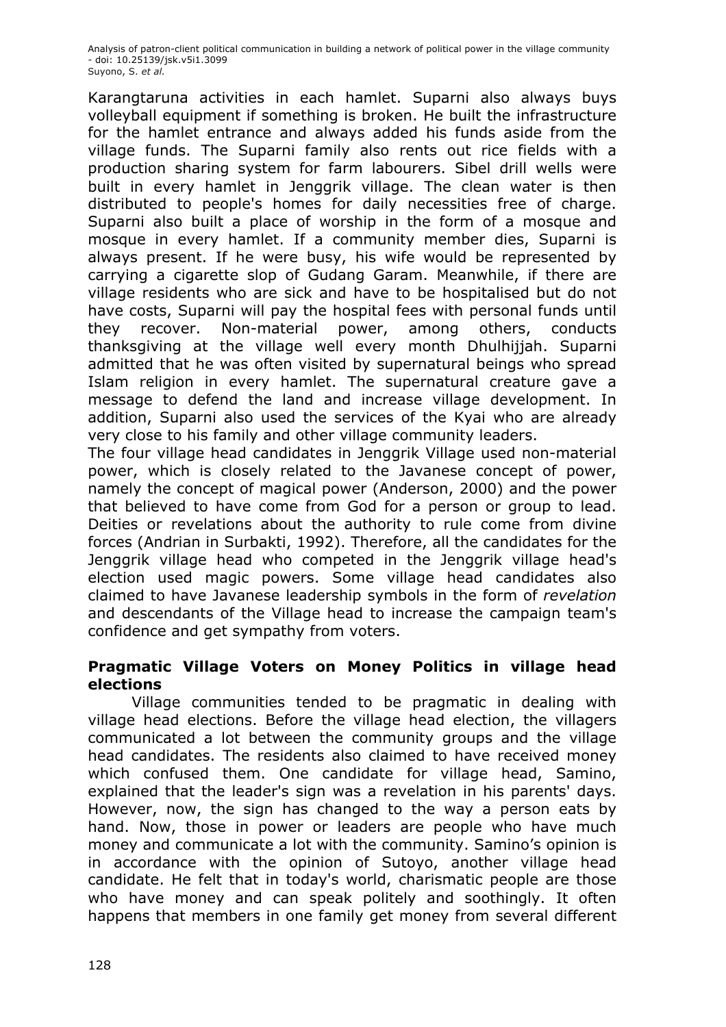Karangtaruna activities in each hamlet. Suparni also always buys volleyball equipment if something is broken. He built the infrastructure for the hamlet entrance and always added his funds aside from the village funds. The Suparni family also rents out rice fields with a production sharing system for farm labourers. Sibel drill wells were built in every hamlet in Jenggrik village. The clean water is then distributed to people's homes for daily necessities free of charge. Suparni also built a place of worship in the form of a mosque and mosque in every hamlet. If a community member dies, Suparni is always present. If he were busy, his wife would be represented by carrying a cigarette slop of Gudang Garam. Meanwhile, if there are village residents who are sick and have to be hospitalised but do not have costs, Suparni will pay the hospital fees with personal funds until they recover. Non-material power, among others, conducts thanksgiving at the village well every month Dhulhijjah. Suparni admitted that he was often visited by supernatural beings who spread Islam religion in every hamlet. The supernatural creature gave a message to defend the land and increase village development. In addition, Suparni also used the services of the Kyai who are already very close to his family and other village community leaders.

The four village head candidates in Jenggrik Village used non-material power, which is closely related to the Javanese concept of power, namely the concept of magical power (Anderson, 2000) and the power that believed to have come from God for a person or group to lead. Deities or revelations about the authority to rule come from divine forces (Andrian in Surbakti, 1992). Therefore, all the candidates for the Jenggrik village head who competed in the Jenggrik village head's election used magic powers. Some village head candidates also claimed to have Javanese leadership symbols in the form of *revelation* and descendants of the Village head to increase the campaign team's confidence and get sympathy from voters.

## **Pragmatic Village Voters on Money Politics in village head elections**

Village communities tended to be pragmatic in dealing with village head elections. Before the village head election, the villagers communicated a lot between the community groups and the village head candidates. The residents also claimed to have received money which confused them. One candidate for village head, Samino, explained that the leader's sign was a revelation in his parents' days. However, now, the sign has changed to the way a person eats by hand. Now, those in power or leaders are people who have much money and communicate a lot with the community. Samino's opinion is in accordance with the opinion of Sutoyo, another village head candidate. He felt that in today's world, charismatic people are those who have money and can speak politely and soothingly. It often happens that members in one family get money from several different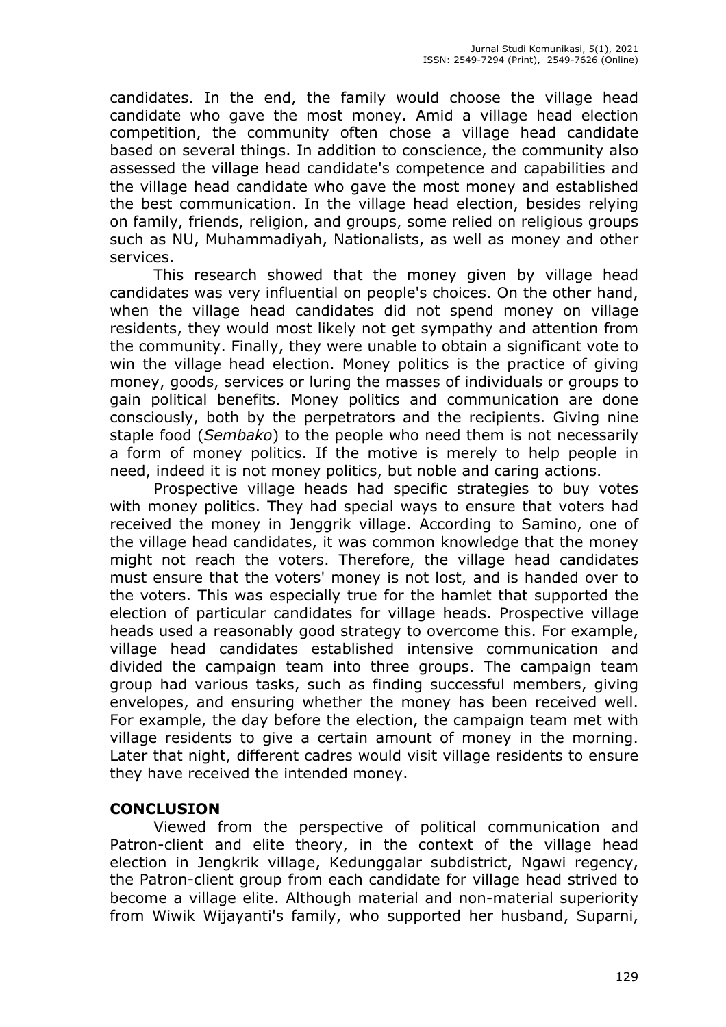candidates. In the end, the family would choose the village head candidate who gave the most money. Amid a village head election competition, the community often chose a village head candidate based on several things. In addition to conscience, the community also assessed the village head candidate's competence and capabilities and the village head candidate who gave the most money and established the best communication. In the village head election, besides relying on family, friends, religion, and groups, some relied on religious groups such as NU, Muhammadiyah, Nationalists, as well as money and other services.

This research showed that the money given by village head candidates was very influential on people's choices. On the other hand, when the village head candidates did not spend money on village residents, they would most likely not get sympathy and attention from the community. Finally, they were unable to obtain a significant vote to win the village head election. Money politics is the practice of giving money, goods, services or luring the masses of individuals or groups to gain political benefits. Money politics and communication are done consciously, both by the perpetrators and the recipients. Giving nine staple food (*Sembako*) to the people who need them is not necessarily a form of money politics. If the motive is merely to help people in need, indeed it is not money politics, but noble and caring actions.

Prospective village heads had specific strategies to buy votes with money politics. They had special ways to ensure that voters had received the money in Jenggrik village. According to Samino, one of the village head candidates, it was common knowledge that the money might not reach the voters. Therefore, the village head candidates must ensure that the voters' money is not lost, and is handed over to the voters. This was especially true for the hamlet that supported the election of particular candidates for village heads. Prospective village heads used a reasonably good strategy to overcome this. For example, village head candidates established intensive communication and divided the campaign team into three groups. The campaign team group had various tasks, such as finding successful members, giving envelopes, and ensuring whether the money has been received well. For example, the day before the election, the campaign team met with village residents to give a certain amount of money in the morning. Later that night, different cadres would visit village residents to ensure they have received the intended money.

## **CONCLUSION**

Viewed from the perspective of political communication and Patron-client and elite theory, in the context of the village head election in Jengkrik village, Kedunggalar subdistrict, Ngawi regency, the Patron-client group from each candidate for village head strived to become a village elite. Although material and non-material superiority from Wiwik Wijayanti's family, who supported her husband, Suparni,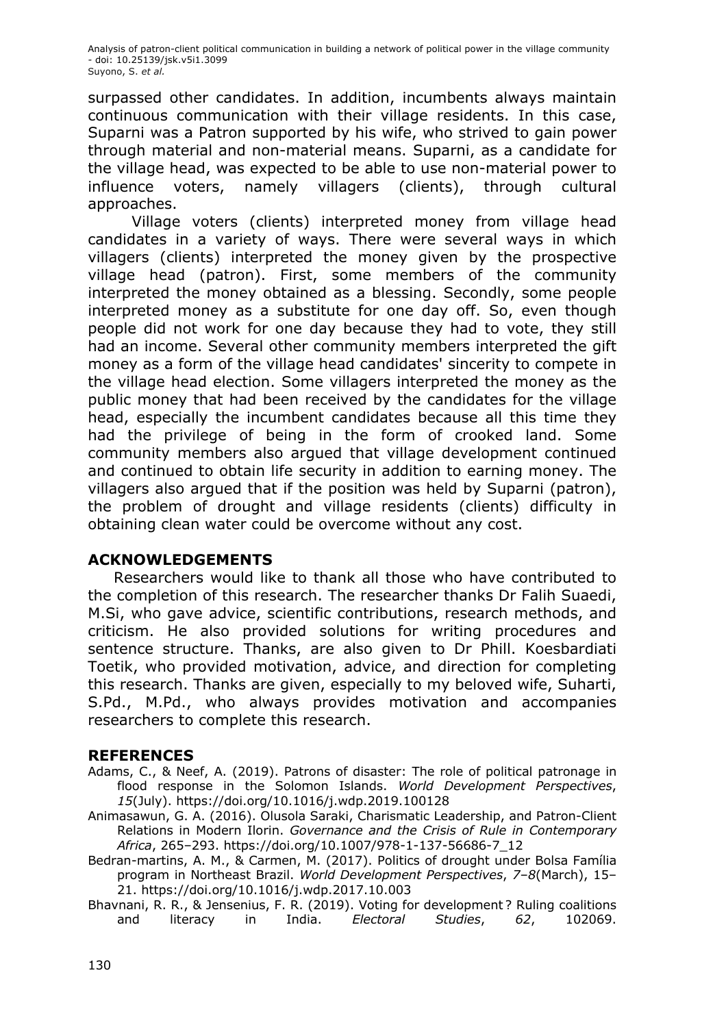surpassed other candidates. In addition, incumbents always maintain continuous communication with their village residents. In this case, Suparni was a Patron supported by his wife, who strived to gain power through material and non-material means. Suparni, as a candidate for the village head, was expected to be able to use non-material power to influence voters, namely villagers (clients), through cultural approaches.

Village voters (clients) interpreted money from village head candidates in a variety of ways. There were several ways in which villagers (clients) interpreted the money given by the prospective village head (patron). First, some members of the community interpreted the money obtained as a blessing. Secondly, some people interpreted money as a substitute for one day off. So, even though people did not work for one day because they had to vote, they still had an income. Several other community members interpreted the gift money as a form of the village head candidates' sincerity to compete in the village head election. Some villagers interpreted the money as the public money that had been received by the candidates for the village head, especially the incumbent candidates because all this time they had the privilege of being in the form of crooked land. Some community members also argued that village development continued and continued to obtain life security in addition to earning money. The villagers also argued that if the position was held by Suparni (patron), the problem of drought and village residents (clients) difficulty in obtaining clean water could be overcome without any cost.

#### **ACKNOWLEDGEMENTS**

Researchers would like to thank all those who have contributed to the completion of this research. The researcher thanks Dr Falih Suaedi, M.Si, who gave advice, scientific contributions, research methods, and criticism. He also provided solutions for writing procedures and sentence structure. Thanks, are also given to Dr Phill. Koesbardiati Toetik, who provided motivation, advice, and direction for completing this research. Thanks are given, especially to my beloved wife, Suharti, S.Pd., M.Pd., who always provides motivation and accompanies researchers to complete this research.

#### **REFERENCES**

- Adams, C., & Neef, A. (2019). Patrons of disaster: The role of political patronage in flood response in the Solomon Islands. *World Development Perspectives*, *15*(July). https://doi.org/10.1016/j.wdp.2019.100128
- Animasawun, G. A. (2016). Olusola Saraki, Charismatic Leadership, and Patron-Client Relations in Modern Ilorin. *Governance and the Crisis of Rule in Contemporary Africa*, 265–293. https://doi.org/10.1007/978-1-137-56686-7\_12
- Bedran-martins, A. M., & Carmen, M. (2017). Politics of drought under Bolsa Família program in Northeast Brazil. *World Development Perspectives*, *7*–*8*(March), 15– 21. https://doi.org/10.1016/j.wdp.2017.10.003
- Bhavnani, R. R., & Jensenius, F. R. (2019). Voting for development ? Ruling coalitions and literacy in India. *Electoral Studies*, *62*, 102069.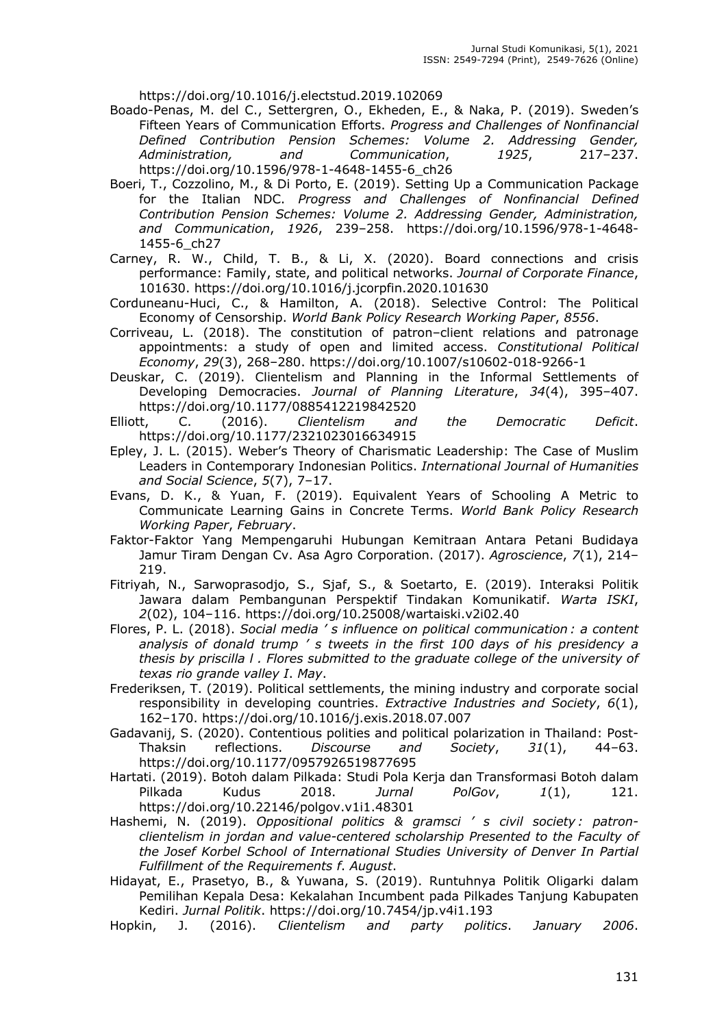https://doi.org/10.1016/j.electstud.2019.102069

- Boado-Penas, M. del C., Settergren, O., Ekheden, E., & Naka, P. (2019). Sweden's Fifteen Years of Communication Efforts. *Progress and Challenges of Nonfinancial Defined Contribution Pension Schemes: Volume 2. Addressing Gender, Administration, and Communication*, *1925*, 217–237. https://doi.org/10.1596/978-1-4648-1455-6\_ch26
- Boeri, T., Cozzolino, M., & Di Porto, E. (2019). Setting Up a Communication Package for the Italian NDC. *Progress and Challenges of Nonfinancial Defined Contribution Pension Schemes: Volume 2. Addressing Gender, Administration, and Communication*, *1926*, 239–258. https://doi.org/10.1596/978-1-4648- 1455-6\_ch27
- Carney, R. W., Child, T. B., & Li, X. (2020). Board connections and crisis performance: Family, state, and political networks. *Journal of Corporate Finance*, 101630. https://doi.org/10.1016/j.jcorpfin.2020.101630
- Corduneanu-Huci, C., & Hamilton, A. (2018). Selective Control: The Political Economy of Censorship. *World Bank Policy Research Working Paper*, *8556*.
- Corriveau, L. (2018). The constitution of patron–client relations and patronage appointments: a study of open and limited access. *Constitutional Political Economy*, *29*(3), 268–280. https://doi.org/10.1007/s10602-018-9266-1
- Deuskar, C. (2019). Clientelism and Planning in the Informal Settlements of Developing Democracies. *Journal of Planning Literature*, *34*(4), 395–407. https://doi.org/10.1177/0885412219842520
- Elliott, C. (2016). *Clientelism and the Democratic Deficit*. https://doi.org/10.1177/2321023016634915
- Epley, J. L. (2015). Weber's Theory of Charismatic Leadership: The Case of Muslim Leaders in Contemporary Indonesian Politics. *International Journal of Humanities and Social Science*, *5*(7), 7–17.
- Evans, D. K., & Yuan, F. (2019). Equivalent Years of Schooling A Metric to Communicate Learning Gains in Concrete Terms. *World Bank Policy Research Working Paper*, *February*.
- Faktor-Faktor Yang Mempengaruhi Hubungan Kemitraan Antara Petani Budidaya Jamur Tiram Dengan Cv. Asa Agro Corporation. (2017). *Agroscience*, *7*(1), 214– 219.
- Fitriyah, N., Sarwoprasodjo, S., Sjaf, S., & Soetarto, E. (2019). Interaksi Politik Jawara dalam Pembangunan Perspektif Tindakan Komunikatif. *Warta ISKI*, *2*(02), 104–116. https://doi.org/10.25008/wartaiski.v2i02.40
- Flores, P. L. (2018). *Social media ' s influence on political communication : a content analysis of donald trump ' s tweets in the first 100 days of his presidency a thesis by priscilla l . Flores submitted to the graduate college of the university of texas rio grande valley I*. *May*.
- Frederiksen, T. (2019). Political settlements, the mining industry and corporate social responsibility in developing countries. *Extractive Industries and Society*, *6*(1), 162–170. https://doi.org/10.1016/j.exis.2018.07.007
- Gadavanij, S. (2020). Contentious polities and political polarization in Thailand: Post-Thaksin reflections. *Discourse and Society*, *31*(1), 44–63. https://doi.org/10.1177/0957926519877695
- Hartati. (2019). Botoh dalam Pilkada: Studi Pola Kerja dan Transformasi Botoh dalam Pilkada Kudus 2018. *Jurnal PolGov*, *1*(1), 121. https://doi.org/10.22146/polgov.v1i1.48301
- Hashemi, N. (2019). *Oppositional politics & gramsci ' s civil society : patronclientelism in jordan and value-centered scholarship Presented to the Faculty of the Josef Korbel School of International Studies University of Denver In Partial Fulfillment of the Requirements f*. *August*.
- Hidayat, E., Prasetyo, B., & Yuwana, S. (2019). Runtuhnya Politik Oligarki dalam Pemilihan Kepala Desa: Kekalahan Incumbent pada Pilkades Tanjung Kabupaten Kediri. *Jurnal Politik*. https://doi.org/10.7454/jp.v4i1.193
- Hopkin, J. (2016). *Clientelism and party politics*. *January 2006*.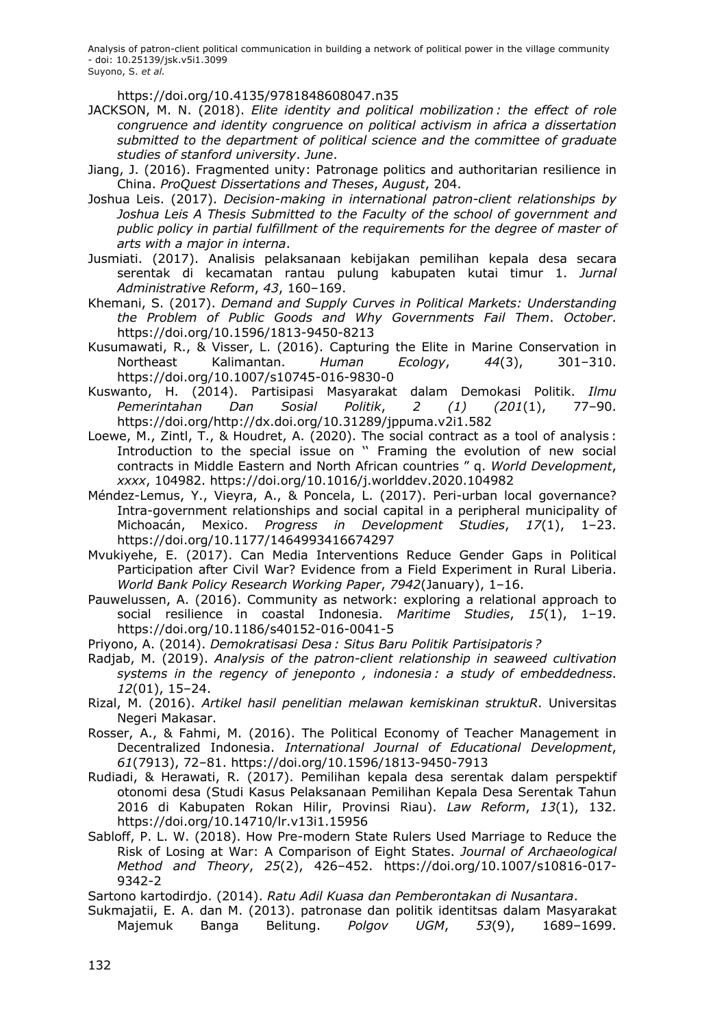https://doi.org/10.4135/9781848608047.n35

- JACKSON, M. N. (2018). *Elite identity and political mobilization : the effect of role congruence and identity congruence on political activism in africa a dissertation submitted to the department of political science and the committee of graduate studies of stanford university*. *June*.
- Jiang, J. (2016). Fragmented unity: Patronage politics and authoritarian resilience in China. *ProQuest Dissertations and Theses*, *August*, 204.
- Joshua Leis. (2017). *Decision-making in international patron-client relationships by Joshua Leis A Thesis Submitted to the Faculty of the school of government and public policy in partial fulfillment of the requirements for the degree of master of arts with a major in interna*.
- Jusmiati. (2017). Analisis pelaksanaan kebijakan pemilihan kepala desa secara serentak di kecamatan rantau pulung kabupaten kutai timur 1. *Jurnal Administrative Reform*, *43*, 160–169.
- Khemani, S. (2017). *Demand and Supply Curves in Political Markets: Understanding the Problem of Public Goods and Why Governments Fail Them*. *October*. https://doi.org/10.1596/1813-9450-8213
- Kusumawati, R., & Visser, L. (2016). Capturing the Elite in Marine Conservation in Northeast Kalimantan. *Human Ecology*, *44*(3), 301–310. https://doi.org/10.1007/s10745-016-9830-0
- Kuswanto, H. (2014). Partisipasi Masyarakat dalam Demokasi Politik. *Ilmu Pemerintahan Dan Sosial Politik*, *2 (1) (201*(1), 77–90. https://doi.org/http://dx.doi.org/10.31289/jppuma.v2i1.582
- Loewe, M., Zintl, T., & Houdret, A. (2020). The social contract as a tool of analysis : Introduction to the special issue on '' Framing the evolution of new social contracts in Middle Eastern and North African countries " q. *World Development*, *xxxx*, 104982. https://doi.org/10.1016/j.worlddev.2020.104982
- Méndez-Lemus, Y., Vieyra, A., & Poncela, L. (2017). Peri-urban local governance? Intra-government relationships and social capital in a peripheral municipality of Michoacán, Mexico. *Progress in Development Studies*, *17*(1), 1–23. https://doi.org/10.1177/1464993416674297
- Mvukiyehe, E. (2017). Can Media Interventions Reduce Gender Gaps in Political Participation after Civil War? Evidence from a Field Experiment in Rural Liberia. *World Bank Policy Research Working Paper*, *7942*(January), 1–16.
- Pauwelussen, A. (2016). Community as network: exploring a relational approach to social resilience in coastal Indonesia. *Maritime Studies*, *15*(1), 1–19. https://doi.org/10.1186/s40152-016-0041-5

Priyono, A. (2014). *Demokratisasi Desa : Situs Baru Politik Partisipatoris ?*

- Radjab, M. (2019). *Analysis of the patron-client relationship in seaweed cultivation systems in the regency of jeneponto , indonesia : a study of embeddedness*. *12*(01), 15–24.
- Rizal, M. (2016). *Artikel hasil penelitian melawan kemiskinan struktuR*. Universitas Negeri Makasar.
- Rosser, A., & Fahmi, M. (2016). The Political Economy of Teacher Management in Decentralized Indonesia. *International Journal of Educational Development*, *61*(7913), 72–81. https://doi.org/10.1596/1813-9450-7913
- Rudiadi, & Herawati, R. (2017). Pemilihan kepala desa serentak dalam perspektif otonomi desa (Studi Kasus Pelaksanaan Pemilihan Kepala Desa Serentak Tahun 2016 di Kabupaten Rokan Hilir, Provinsi Riau). *Law Reform*, *13*(1), 132. https://doi.org/10.14710/lr.v13i1.15956
- Sabloff, P. L. W. (2018). How Pre-modern State Rulers Used Marriage to Reduce the Risk of Losing at War: A Comparison of Eight States. *Journal of Archaeological Method and Theory*, *25*(2), 426–452. https://doi.org/10.1007/s10816-017- 9342-2

Sartono kartodirdjo. (2014). *Ratu Adil Kuasa dan Pemberontakan di Nusantara*.

Sukmajatii, E. A. dan M. (2013). patronase dan politik identitsas dalam Masyarakat Majemuk Banga Belitung. *Polgov UGM*, *53*(9), 1689–1699.